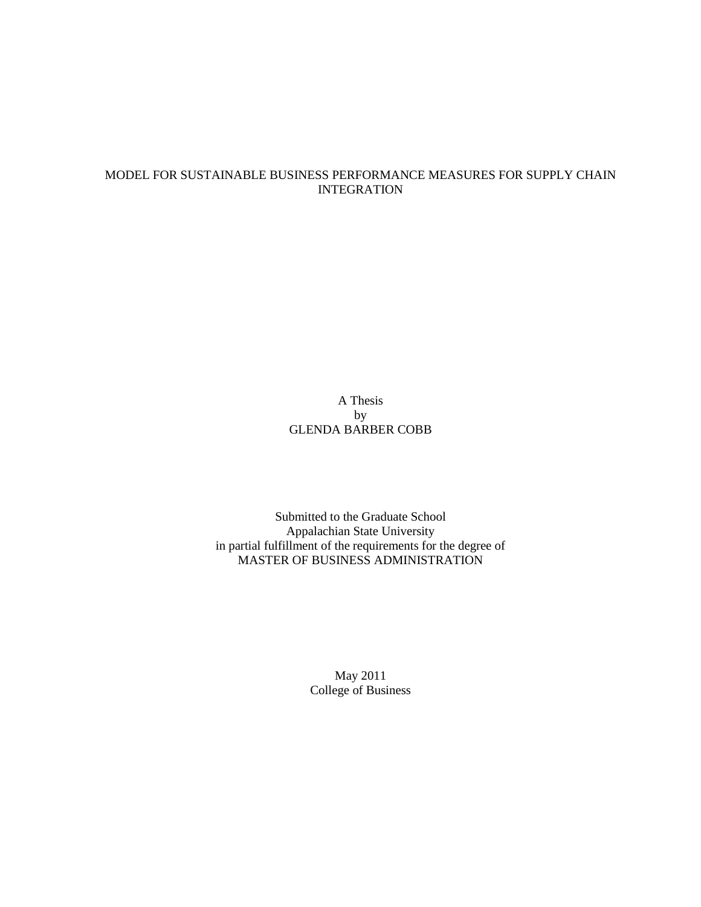## MODEL FOR SUSTAINABLE BUSINESS PERFORMANCE MEASURES FOR SUPPLY CHAIN INTEGRATION

# A Thesis by GLENDA BARBER COBB

Submitted to the Graduate School Appalachian State University in partial fulfillment of the requirements for the degree of MASTER OF BUSINESS ADMINISTRATION

> May 2011 College of Business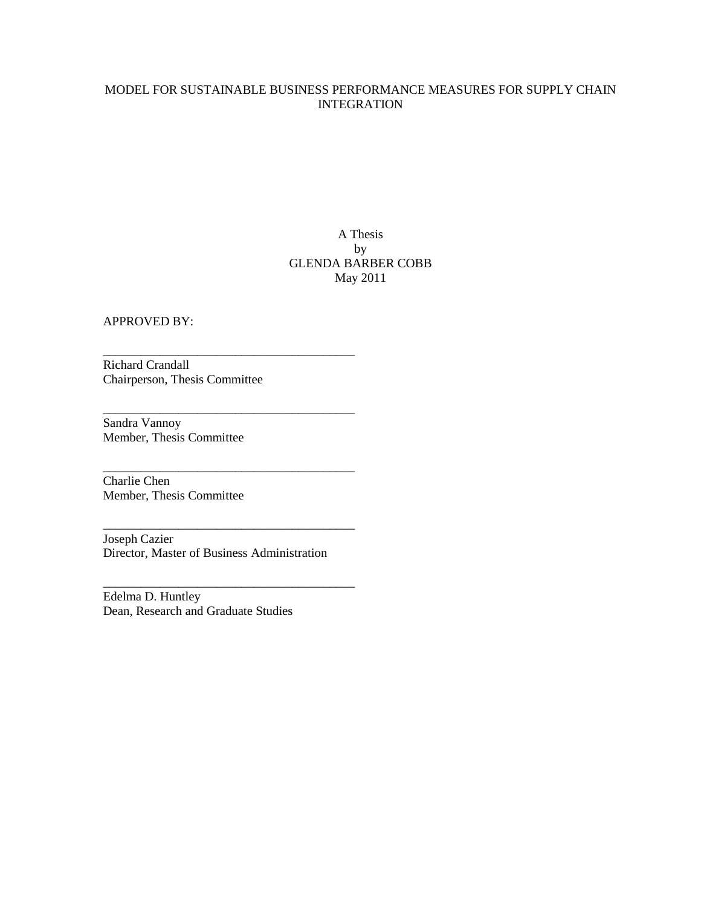# MODEL FOR SUSTAINABLE BUSINESS PERFORMANCE MEASURES FOR SUPPLY CHAIN INTEGRATION

# A Thesis by GLENDA BARBER COBB May 2011

APPROVED BY:

Richard Crandall Chairperson, Thesis Committee

\_\_\_\_\_\_\_\_\_\_\_\_\_\_\_\_\_\_\_\_\_\_\_\_\_\_\_\_\_\_\_\_\_\_\_\_\_\_\_\_

\_\_\_\_\_\_\_\_\_\_\_\_\_\_\_\_\_\_\_\_\_\_\_\_\_\_\_\_\_\_\_\_\_\_\_\_\_\_\_\_

\_\_\_\_\_\_\_\_\_\_\_\_\_\_\_\_\_\_\_\_\_\_\_\_\_\_\_\_\_\_\_\_\_\_\_\_\_\_\_\_

\_\_\_\_\_\_\_\_\_\_\_\_\_\_\_\_\_\_\_\_\_\_\_\_\_\_\_\_\_\_\_\_\_\_\_\_\_\_\_\_

\_\_\_\_\_\_\_\_\_\_\_\_\_\_\_\_\_\_\_\_\_\_\_\_\_\_\_\_\_\_\_\_\_\_\_\_\_\_\_\_

Sandra Vannoy Member, Thesis Committee

Charlie Chen Member, Thesis Committee

Joseph Cazier Director, Master of Business Administration

Edelma D. Huntley Dean, Research and Graduate Studies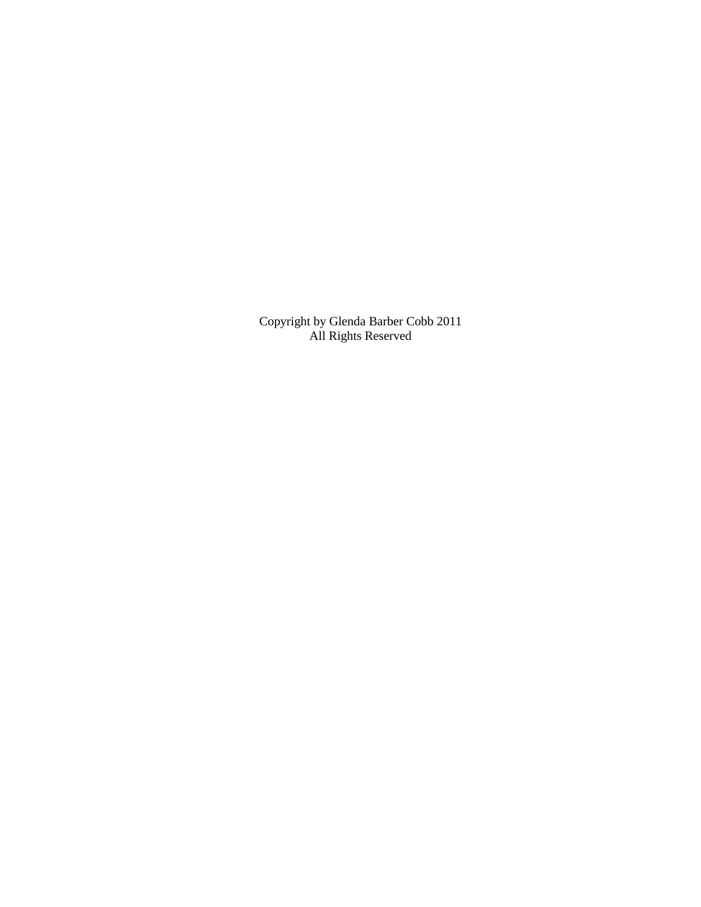Copyright by Glenda Barber Cobb 2011 All Rights Reserved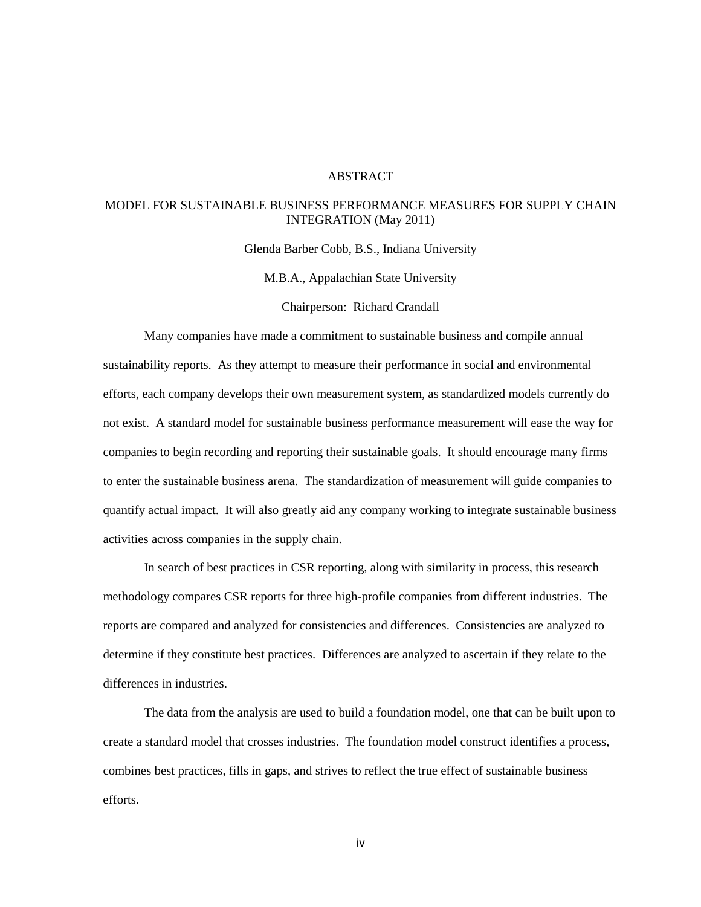## ABSTRACT

## MODEL FOR SUSTAINABLE BUSINESS PERFORMANCE MEASURES FOR SUPPLY CHAIN INTEGRATION (May 2011)

Glenda Barber Cobb, B.S., Indiana University

M.B.A., Appalachian State University

Chairperson: Richard Crandall

 Many companies have made a commitment to sustainable business and compile annual sustainability reports. As they attempt to measure their performance in social and environmental efforts, each company develops their own measurement system, as standardized models currently do not exist. A standard model for sustainable business performance measurement will ease the way for companies to begin recording and reporting their sustainable goals. It should encourage many firms to enter the sustainable business arena. The standardization of measurement will guide companies to quantify actual impact. It will also greatly aid any company working to integrate sustainable business activities across companies in the supply chain.

 In search of best practices in CSR reporting, along with similarity in process, this research methodology compares CSR reports for three high-profile companies from different industries. The reports are compared and analyzed for consistencies and differences. Consistencies are analyzed to determine if they constitute best practices. Differences are analyzed to ascertain if they relate to the differences in industries.

 The data from the analysis are used to build a foundation model, one that can be built upon to create a standard model that crosses industries. The foundation model construct identifies a process, combines best practices, fills in gaps, and strives to reflect the true effect of sustainable business efforts.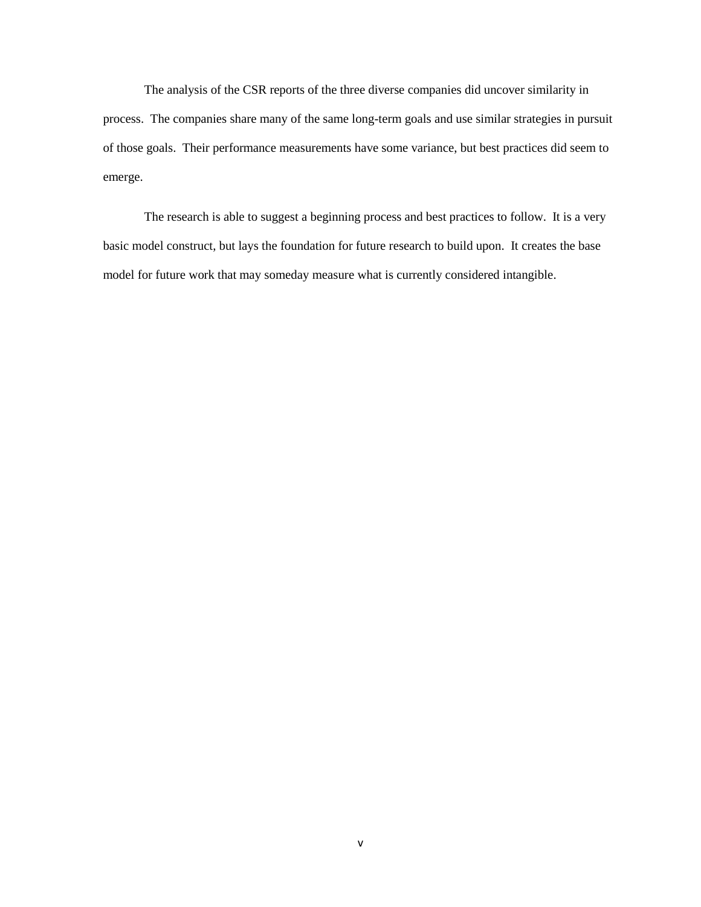The analysis of the CSR reports of the three diverse companies did uncover similarity in process. The companies share many of the same long-term goals and use similar strategies in pursuit of those goals. Their performance measurements have some variance, but best practices did seem to emerge.

The research is able to suggest a beginning process and best practices to follow. It is a very basic model construct, but lays the foundation for future research to build upon. It creates the base model for future work that may someday measure what is currently considered intangible.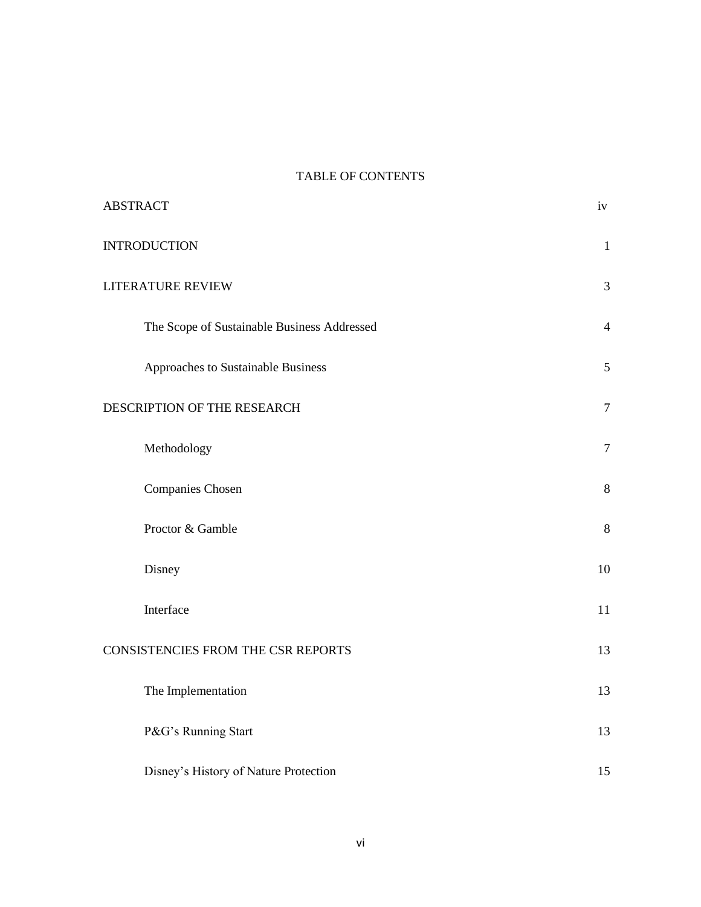# TABLE OF CONTENTS

| <b>ABSTRACT</b>                             |                |  |  |
|---------------------------------------------|----------------|--|--|
| <b>INTRODUCTION</b>                         | $\mathbf{1}$   |  |  |
| LITERATURE REVIEW                           |                |  |  |
| The Scope of Sustainable Business Addressed | $\overline{4}$ |  |  |
| Approaches to Sustainable Business          | 5              |  |  |
| DESCRIPTION OF THE RESEARCH<br>$\tau$       |                |  |  |
| Methodology                                 | $\overline{7}$ |  |  |
| Companies Chosen                            | 8              |  |  |
| Proctor & Gamble                            | $\, 8$         |  |  |
| Disney                                      | 10             |  |  |
| Interface                                   | 11             |  |  |
| CONSISTENCIES FROM THE CSR REPORTS          |                |  |  |
| The Implementation                          | 13             |  |  |
| P&G's Running Start                         | 13             |  |  |
| Disney's History of Nature Protection       | 15             |  |  |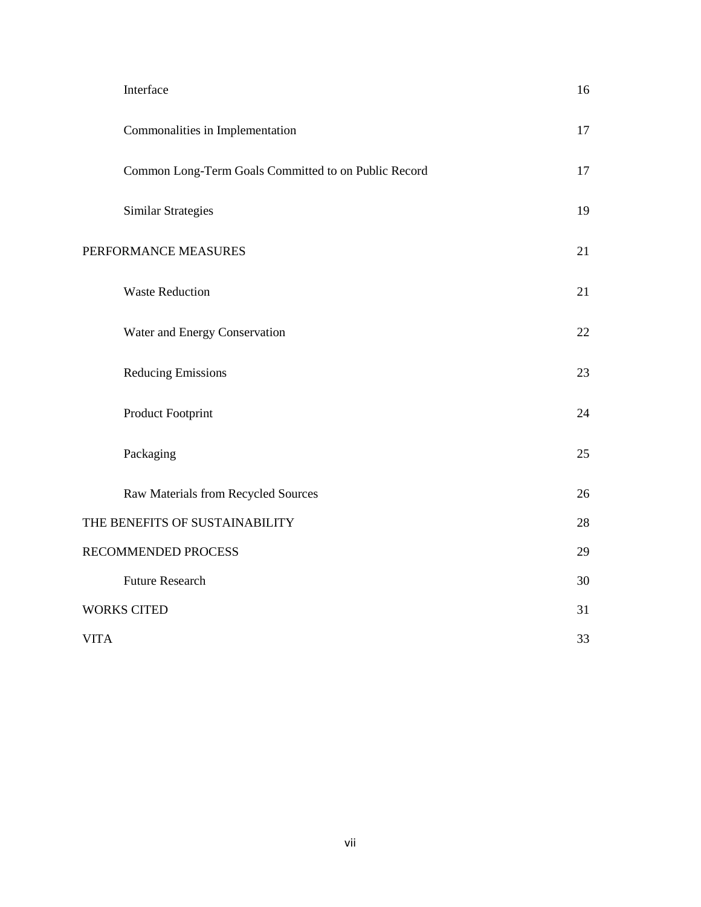|                    | Interface                                            | 16 |
|--------------------|------------------------------------------------------|----|
|                    | Commonalities in Implementation                      | 17 |
|                    | Common Long-Term Goals Committed to on Public Record | 17 |
|                    | <b>Similar Strategies</b>                            | 19 |
|                    | PERFORMANCE MEASURES                                 | 21 |
|                    | <b>Waste Reduction</b>                               | 21 |
|                    | Water and Energy Conservation                        | 22 |
|                    | <b>Reducing Emissions</b>                            | 23 |
|                    | Product Footprint                                    | 24 |
|                    | Packaging                                            | 25 |
|                    | Raw Materials from Recycled Sources                  | 26 |
|                    | THE BENEFITS OF SUSTAINABILITY                       | 28 |
|                    | RECOMMENDED PROCESS                                  |    |
|                    | <b>Future Research</b>                               | 30 |
| <b>WORKS CITED</b> |                                                      | 31 |
| <b>VITA</b>        |                                                      | 33 |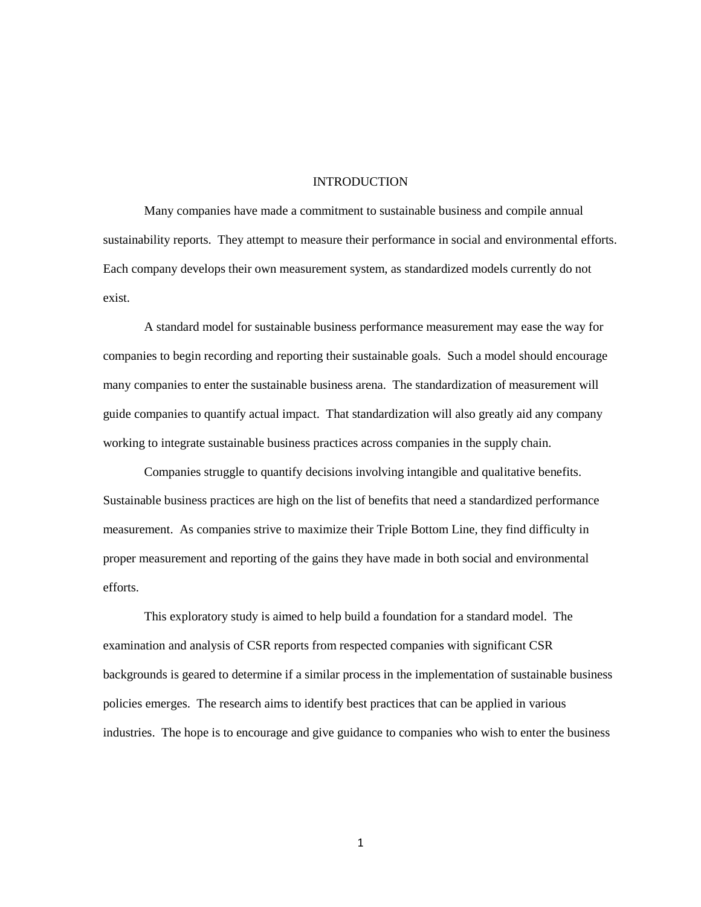## **INTRODUCTION**

Many companies have made a commitment to sustainable business and compile annual sustainability reports. They attempt to measure their performance in social and environmental efforts. Each company develops their own measurement system, as standardized models currently do not exist.

A standard model for sustainable business performance measurement may ease the way for companies to begin recording and reporting their sustainable goals. Such a model should encourage many companies to enter the sustainable business arena. The standardization of measurement will guide companies to quantify actual impact. That standardization will also greatly aid any company working to integrate sustainable business practices across companies in the supply chain.

Companies struggle to quantify decisions involving intangible and qualitative benefits. Sustainable business practices are high on the list of benefits that need a standardized performance measurement. As companies strive to maximize their Triple Bottom Line, they find difficulty in proper measurement and reporting of the gains they have made in both social and environmental efforts.

This exploratory study is aimed to help build a foundation for a standard model. The examination and analysis of CSR reports from respected companies with significant CSR backgrounds is geared to determine if a similar process in the implementation of sustainable business policies emerges. The research aims to identify best practices that can be applied in various industries. The hope is to encourage and give guidance to companies who wish to enter the business

1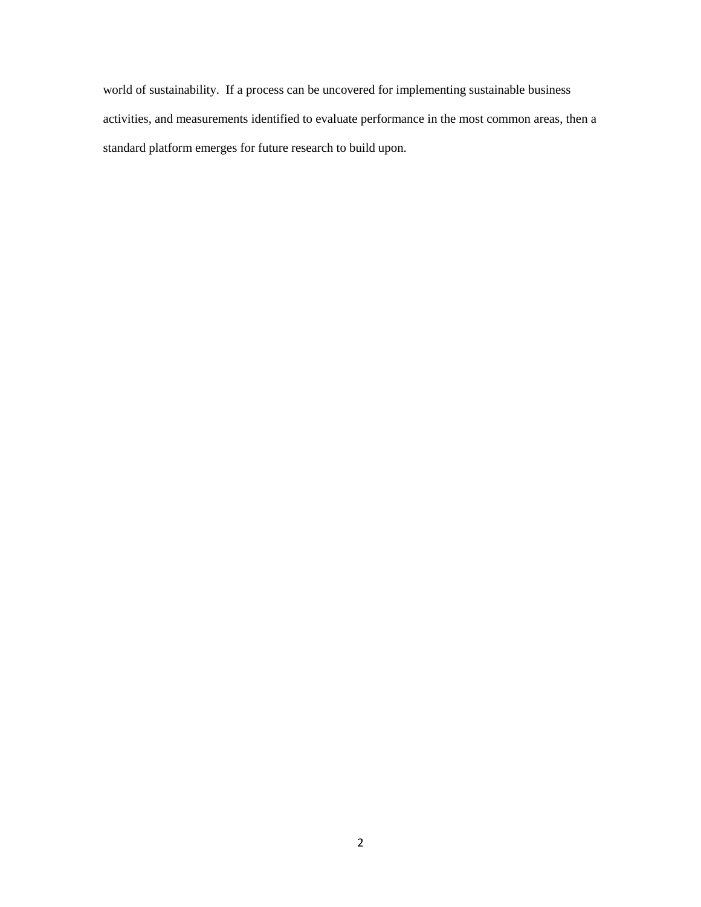world of sustainability. If a process can be uncovered for implementing sustainable business activities, and measurements identified to evaluate performance in the most common areas, then a standard platform emerges for future research to build upon.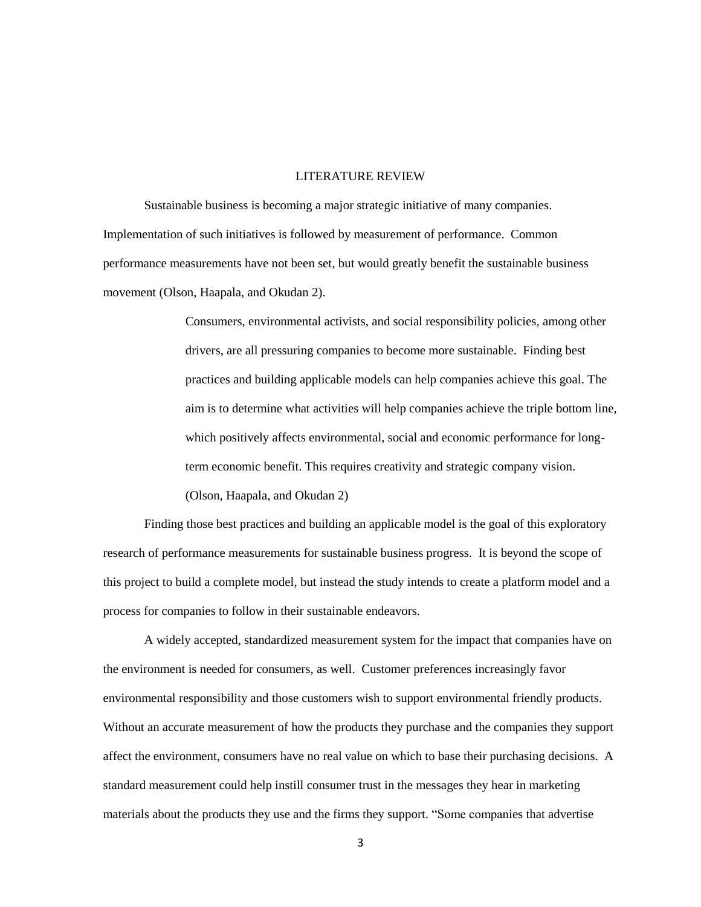## LITERATURE REVIEW

Sustainable business is becoming a major strategic initiative of many companies. Implementation of such initiatives is followed by measurement of performance. Common performance measurements have not been set, but would greatly benefit the sustainable business movement (Olson, Haapala, and Okudan 2).

> Consumers, environmental activists, and social responsibility policies, among other drivers, are all pressuring companies to become more sustainable. Finding best practices and building applicable models can help companies achieve this goal. The aim is to determine what activities will help companies achieve the triple bottom line, which positively affects environmental, social and economic performance for longterm economic benefit. This requires creativity and strategic company vision. (Olson, Haapala, and Okudan 2)

Finding those best practices and building an applicable model is the goal of this exploratory research of performance measurements for sustainable business progress. It is beyond the scope of this project to build a complete model, but instead the study intends to create a platform model and a process for companies to follow in their sustainable endeavors.

A widely accepted, standardized measurement system for the impact that companies have on the environment is needed for consumers, as well. Customer preferences increasingly favor environmental responsibility and those customers wish to support environmental friendly products. Without an accurate measurement of how the products they purchase and the companies they support affect the environment, consumers have no real value on which to base their purchasing decisions. A standard measurement could help instill consumer trust in the messages they hear in marketing materials about the products they use and the firms they support. "Some companies that advertise

3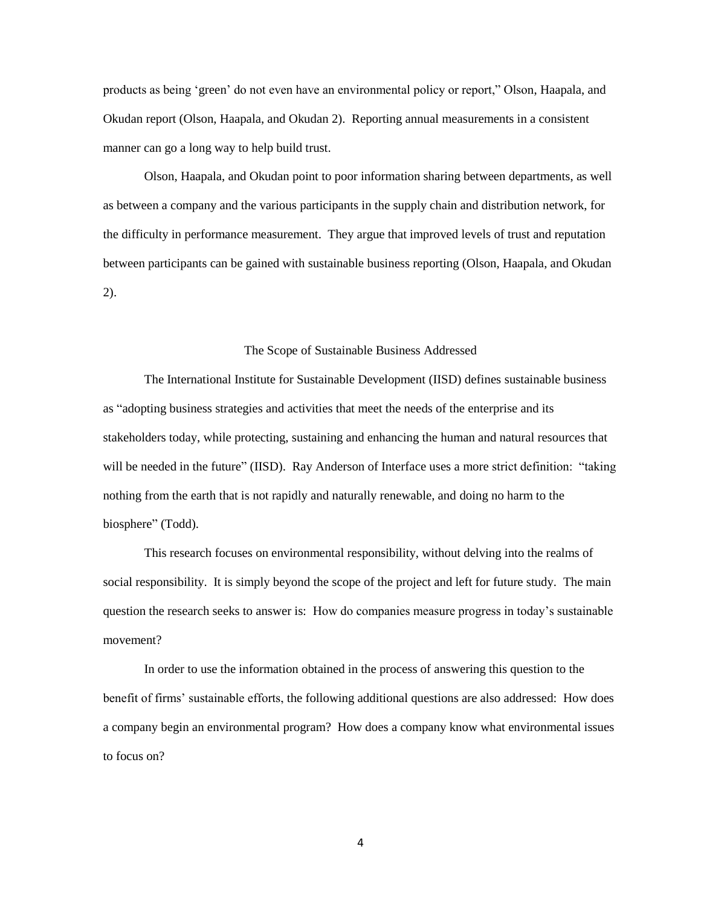products as being 'green' do not even have an environmental policy or report," Olson, Haapala, and Okudan report (Olson, Haapala, and Okudan 2). Reporting annual measurements in a consistent manner can go a long way to help build trust.

Olson, Haapala, and Okudan point to poor information sharing between departments, as well as between a company and the various participants in the supply chain and distribution network, for the difficulty in performance measurement. They argue that improved levels of trust and reputation between participants can be gained with sustainable business reporting (Olson, Haapala, and Okudan 2).

#### The Scope of Sustainable Business Addressed

The International Institute for Sustainable Development (IISD) defines sustainable business as "adopting business strategies and activities that meet the needs of the enterprise and its stakeholders today, while protecting, sustaining and enhancing the human and natural resources that will be needed in the future" (IISD). Ray Anderson of Interface uses a more strict definition: "taking nothing from the earth that is not rapidly and naturally renewable, and doing no harm to the biosphere" (Todd).

This research focuses on environmental responsibility, without delving into the realms of social responsibility. It is simply beyond the scope of the project and left for future study. The main question the research seeks to answer is: How do companies measure progress in today's sustainable movement?

In order to use the information obtained in the process of answering this question to the benefit of firms' sustainable efforts, the following additional questions are also addressed: How does a company begin an environmental program? How does a company know what environmental issues to focus on?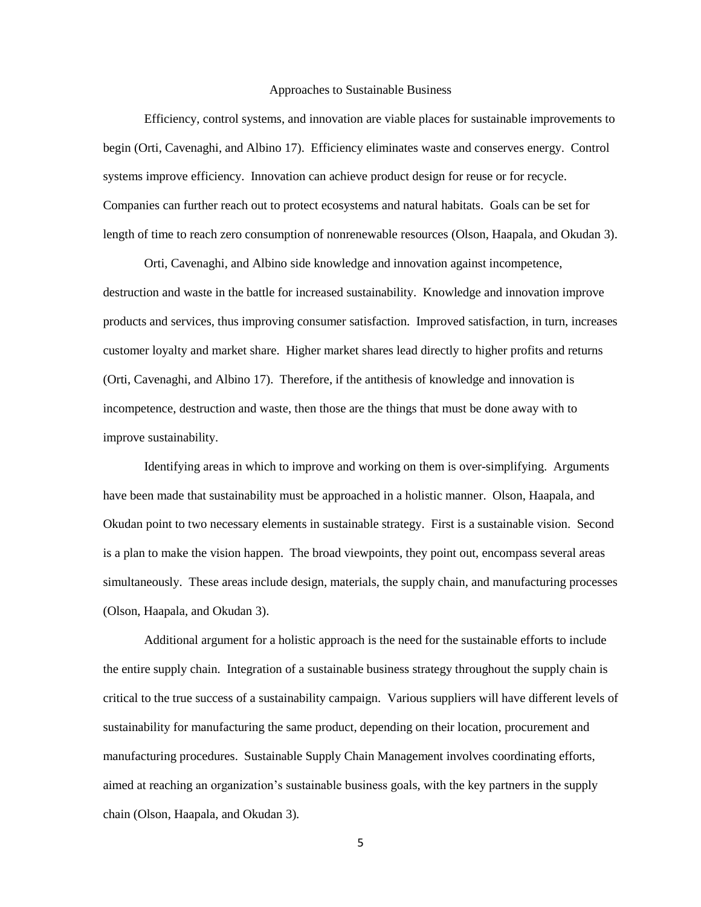#### Approaches to Sustainable Business

Efficiency, control systems, and innovation are viable places for sustainable improvements to begin (Orti, Cavenaghi, and Albino 17). Efficiency eliminates waste and conserves energy. Control systems improve efficiency. Innovation can achieve product design for reuse or for recycle. Companies can further reach out to protect ecosystems and natural habitats. Goals can be set for length of time to reach zero consumption of nonrenewable resources (Olson, Haapala, and Okudan 3).

Orti, Cavenaghi, and Albino side knowledge and innovation against incompetence, destruction and waste in the battle for increased sustainability. Knowledge and innovation improve products and services, thus improving consumer satisfaction. Improved satisfaction, in turn, increases customer loyalty and market share. Higher market shares lead directly to higher profits and returns (Orti, Cavenaghi, and Albino 17). Therefore, if the antithesis of knowledge and innovation is incompetence, destruction and waste, then those are the things that must be done away with to improve sustainability.

Identifying areas in which to improve and working on them is over-simplifying. Arguments have been made that sustainability must be approached in a holistic manner. Olson, Haapala, and Okudan point to two necessary elements in sustainable strategy. First is a sustainable vision. Second is a plan to make the vision happen. The broad viewpoints, they point out, encompass several areas simultaneously. These areas include design, materials, the supply chain, and manufacturing processes (Olson, Haapala, and Okudan 3).

Additional argument for a holistic approach is the need for the sustainable efforts to include the entire supply chain. Integration of a sustainable business strategy throughout the supply chain is critical to the true success of a sustainability campaign. Various suppliers will have different levels of sustainability for manufacturing the same product, depending on their location, procurement and manufacturing procedures. Sustainable Supply Chain Management involves coordinating efforts, aimed at reaching an organization's sustainable business goals, with the key partners in the supply chain (Olson, Haapala, and Okudan 3)*.* 

5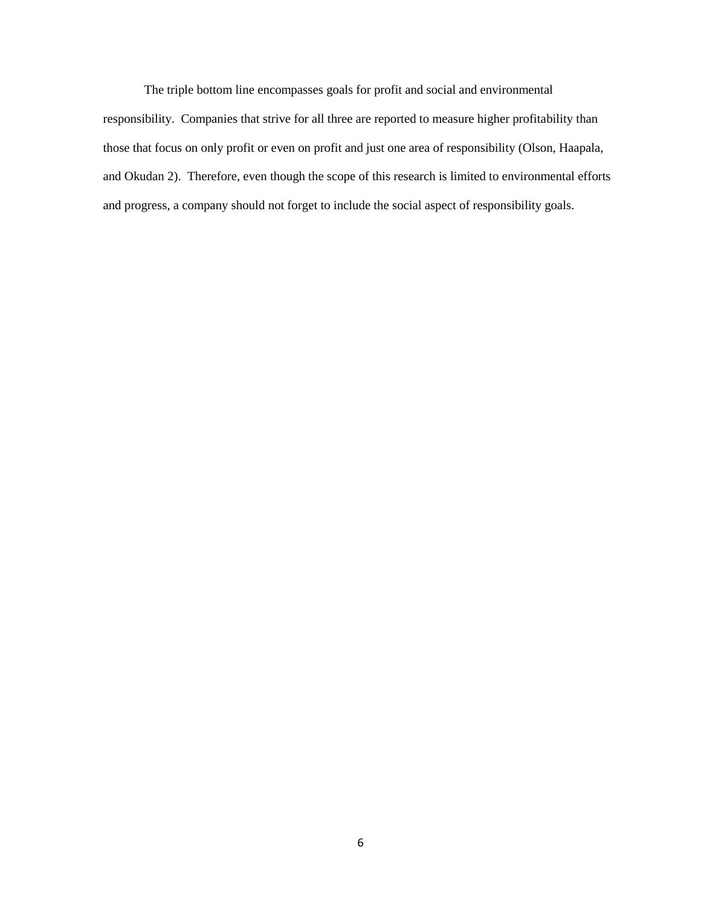The triple bottom line encompasses goals for profit and social and environmental responsibility. Companies that strive for all three are reported to measure higher profitability than those that focus on only profit or even on profit and just one area of responsibility (Olson, Haapala, and Okudan 2). Therefore, even though the scope of this research is limited to environmental efforts and progress, a company should not forget to include the social aspect of responsibility goals.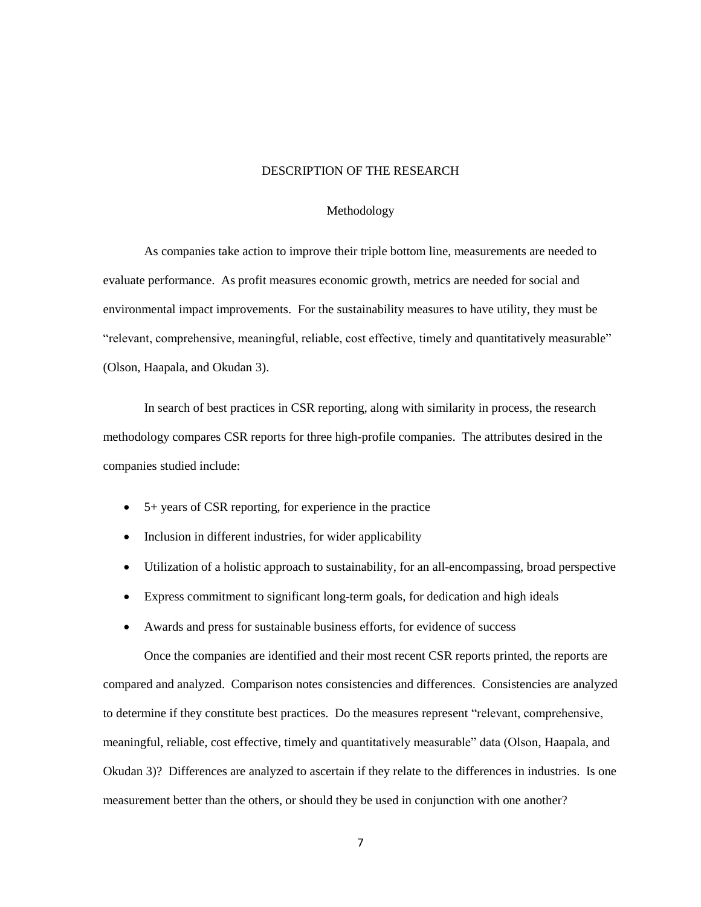## DESCRIPTION OF THE RESEARCH

### Methodology

As companies take action to improve their triple bottom line, measurements are needed to evaluate performance. As profit measures economic growth, metrics are needed for social and environmental impact improvements. For the sustainability measures to have utility, they must be "relevant, comprehensive, meaningful, reliable, cost effective, timely and quantitatively measurable" (Olson, Haapala, and Okudan 3).

In search of best practices in CSR reporting, along with similarity in process, the research methodology compares CSR reports for three high-profile companies. The attributes desired in the companies studied include:

- 5+ years of CSR reporting, for experience in the practice
- Inclusion in different industries, for wider applicability
- Utilization of a holistic approach to sustainability, for an all-encompassing, broad perspective
- Express commitment to significant long-term goals, for dedication and high ideals
- Awards and press for sustainable business efforts, for evidence of success

Once the companies are identified and their most recent CSR reports printed, the reports are compared and analyzed. Comparison notes consistencies and differences. Consistencies are analyzed to determine if they constitute best practices. Do the measures represent "relevant, comprehensive, meaningful, reliable, cost effective, timely and quantitatively measurable" data (Olson, Haapala, and Okudan 3)? Differences are analyzed to ascertain if they relate to the differences in industries. Is one measurement better than the others, or should they be used in conjunction with one another?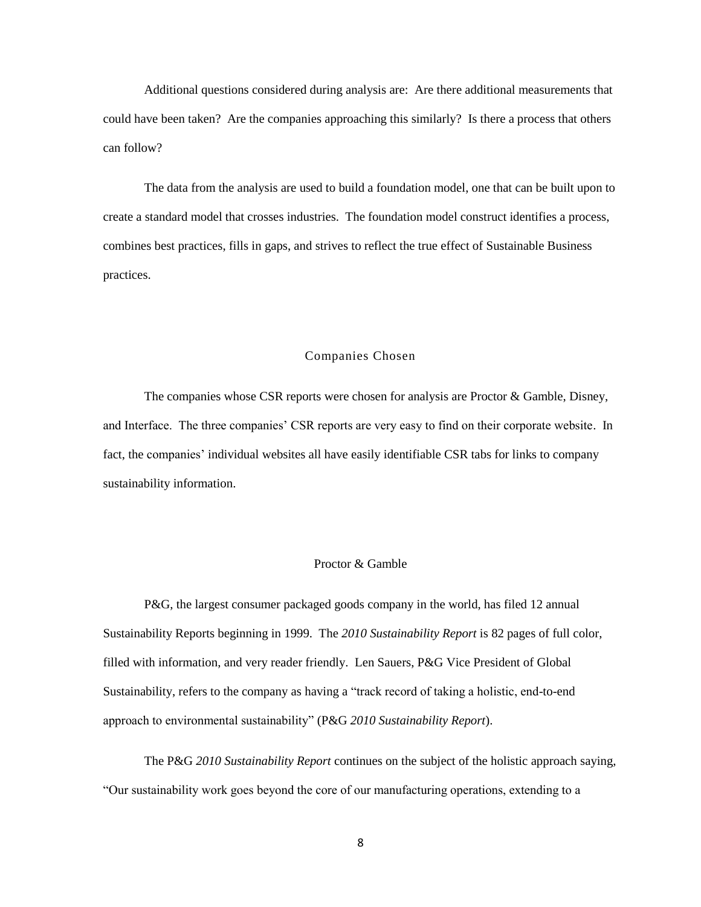Additional questions considered during analysis are: Are there additional measurements that could have been taken? Are the companies approaching this similarly? Is there a process that others can follow?

The data from the analysis are used to build a foundation model, one that can be built upon to create a standard model that crosses industries. The foundation model construct identifies a process, combines best practices, fills in gaps, and strives to reflect the true effect of Sustainable Business practices.

## Companies Chosen

The companies whose CSR reports were chosen for analysis are Proctor & Gamble, Disney, and Interface. The three companies' CSR reports are very easy to find on their corporate website. In fact, the companies' individual websites all have easily identifiable CSR tabs for links to company sustainability information.

## Proctor & Gamble

P&G, the largest consumer packaged goods company in the world, has filed 12 annual Sustainability Reports beginning in 1999. The *2010 Sustainability Report* is 82 pages of full color, filled with information, and very reader friendly. Len Sauers, P&G Vice President of Global Sustainability, refers to the company as having a "track record of taking a holistic, end-to-end approach to environmental sustainability" (P&G 2010 Sustainability Report).

The P&G *2010 Sustainability Report* continues on the subject of the holistic approach saying, ―Our sustainability work goes beyond the core of our manufacturing operations, extending to a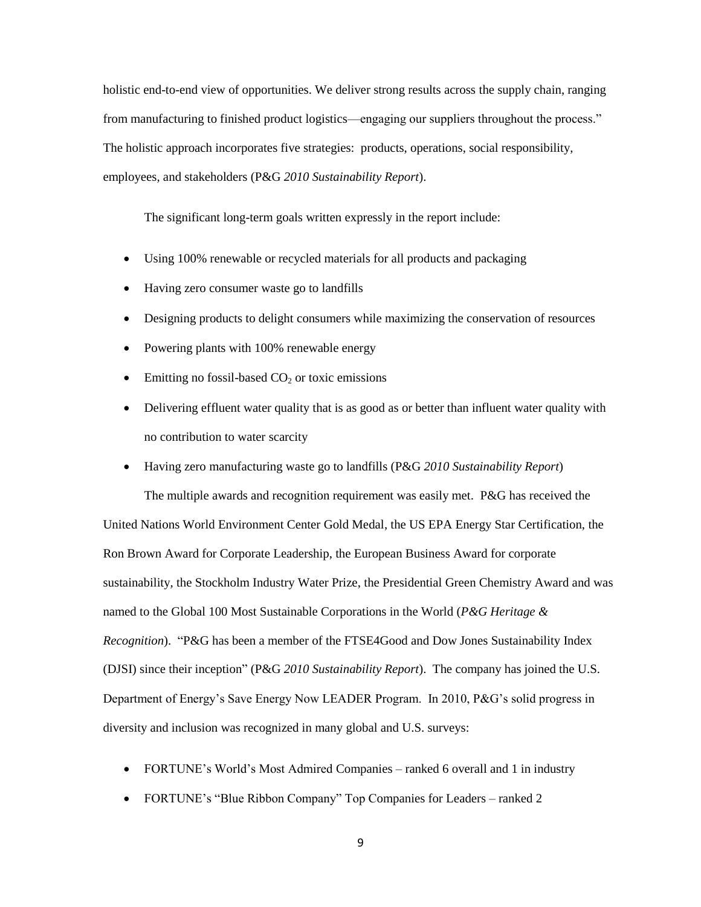holistic end-to-end view of opportunities. We deliver strong results across the supply chain, ranging from manufacturing to finished product logistics—engaging our suppliers throughout the process." The holistic approach incorporates five strategies: products, operations, social responsibility, employees, and stakeholders (P&G *2010 Sustainability Report*).

The significant long-term goals written expressly in the report include:

- Using 100% renewable or recycled materials for all products and packaging
- Having zero consumer waste go to landfills
- Designing products to delight consumers while maximizing the conservation of resources
- Powering plants with 100% renewable energy
- $\bullet$  Emitting no fossil-based CO<sub>2</sub> or toxic emissions
- Delivering effluent water quality that is as good as or better than influent water quality with no contribution to water scarcity
- Having zero manufacturing waste go to landfills (P&G *2010 Sustainability Report*)

The multiple awards and recognition requirement was easily met. P&G has received the United Nations World Environment Center Gold Medal, the US EPA Energy Star Certification, the Ron Brown Award for Corporate Leadership, the European Business Award for corporate sustainability, the Stockholm Industry Water Prize, the Presidential Green Chemistry Award and was named to the Global 100 Most Sustainable Corporations in the World (*P&G Heritage & Recognition*). "P&G has been a member of the FTSE4Good and Dow Jones Sustainability Index (DJSI) since their inception" (P&G 2010 *Sustainability Report*). The company has joined the U.S. Department of Energy's Save Energy Now LEADER Program. In 2010, P&G's solid progress in diversity and inclusion was recognized in many global and U.S. surveys:

- FORTUNE's World's Most Admired Companies ranked 6 overall and 1 in industry
- FORTUNE's "Blue Ribbon Company" Top Companies for Leaders ranked 2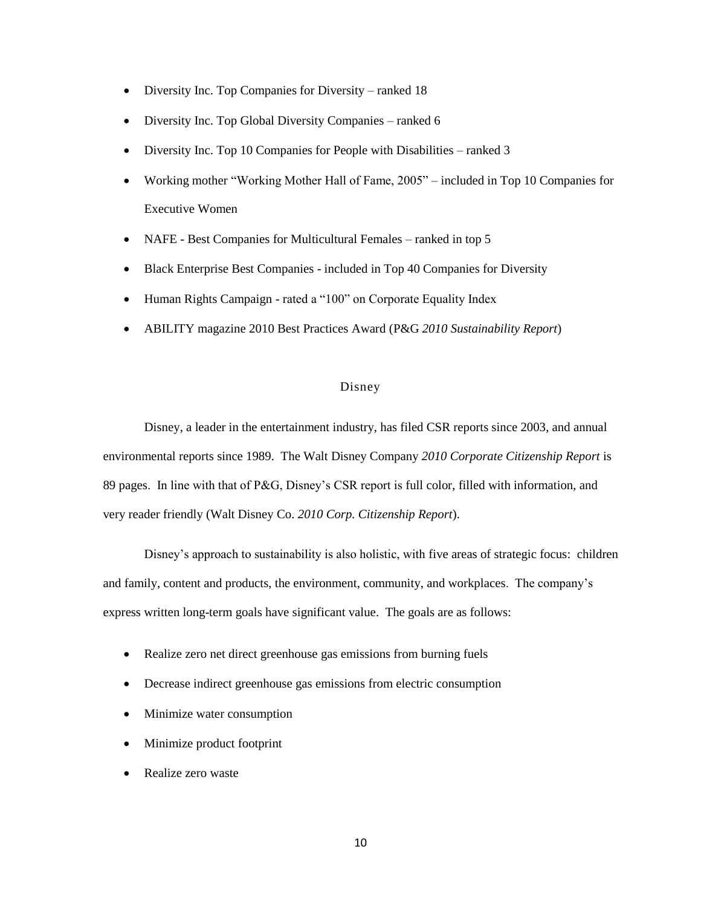- Diversity Inc. Top Companies for Diversity ranked 18
- Diversity Inc. Top Global Diversity Companies ranked 6
- Diversity Inc. Top 10 Companies for People with Disabilities ranked 3
- Working mother "Working Mother Hall of Fame, 2005" included in Top 10 Companies for Executive Women
- NAFE Best Companies for Multicultural Females ranked in top 5
- Black Enterprise Best Companies included in Top 40 Companies for Diversity
- Human Rights Campaign rated a "100" on Corporate Equality Index
- ABILITY magazine 2010 Best Practices Award (P&G *2010 Sustainability Report*)

## Disney

Disney, a leader in the entertainment industry, has filed CSR reports since 2003, and annual environmental reports since 1989. The Walt Disney Company *2010 Corporate Citizenship Report* is 89 pages. In line with that of P&G, Disney's CSR report is full color, filled with information, and very reader friendly (Walt Disney Co. *2010 Corp. Citizenship Report*).

Disney's approach to sustainability is also holistic, with five areas of strategic focus: children and family, content and products, the environment, community, and workplaces. The company's express written long-term goals have significant value. The goals are as follows:

- Realize zero net direct greenhouse gas emissions from burning fuels
- Decrease indirect greenhouse gas emissions from electric consumption
- Minimize water consumption
- Minimize product footprint
- Realize zero waste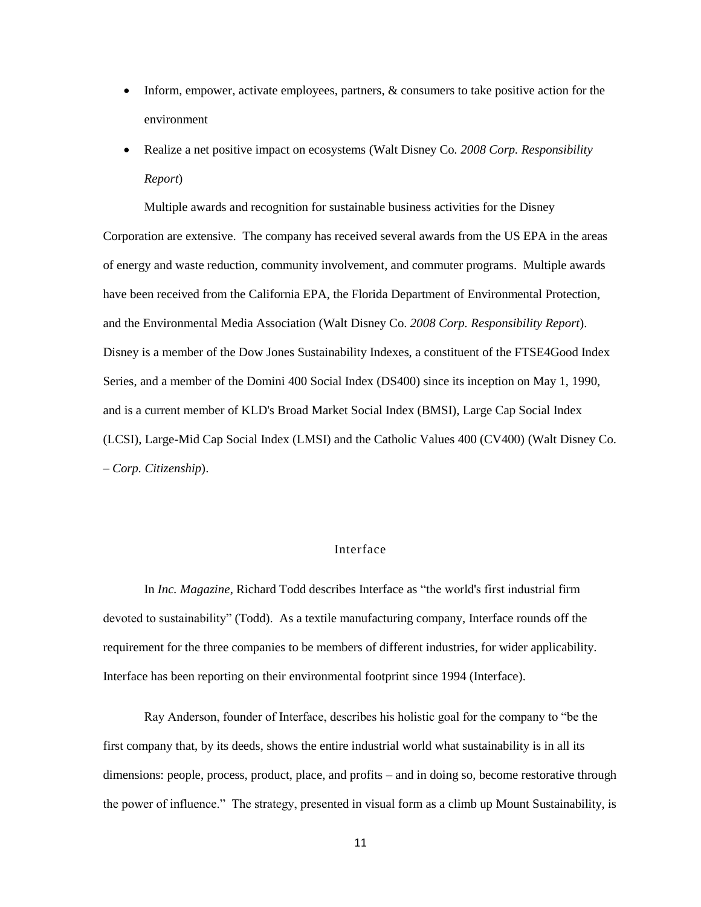- Inform, empower, activate employees, partners, & consumers to take positive action for the environment
- Realize a net positive impact on ecosystems (Walt Disney Co*. 2008 Corp. Responsibility Report*)

Multiple awards and recognition for sustainable business activities for the Disney Corporation are extensive. The company has received several awards from the US EPA in the areas of energy and waste reduction, community involvement, and commuter programs. Multiple awards have been received from the California EPA, the Florida Department of Environmental Protection, and the Environmental Media Association (Walt Disney Co. *2008 Corp. Responsibility Report*). Disney is a member of the Dow Jones Sustainability Indexes, a constituent of the FTSE4Good Index Series, and a member of the Domini 400 Social Index (DS400) since its inception on May 1, 1990, and is a current member of KLD's Broad Market Social Index (BMSI), Large Cap Social Index (LCSI), Large-Mid Cap Social Index (LMSI) and the Catholic Values 400 (CV400) (Walt Disney Co. – *Corp. Citizenship*).

## Interface

In *Inc. Magazine*, Richard Todd describes Interface as "the world's first industrial firm devoted to sustainability" (Todd). As a textile manufacturing company, Interface rounds off the requirement for the three companies to be members of different industries, for wider applicability. Interface has been reporting on their environmental footprint since 1994 (Interface).

Ray Anderson, founder of Interface, describes his holistic goal for the company to "be the first company that, by its deeds, shows the entire industrial world what sustainability is in all its dimensions: people, process, product, place, and profits – and in doing so, become restorative through the power of influence.‖ The strategy, presented in visual form as a climb up Mount Sustainability, is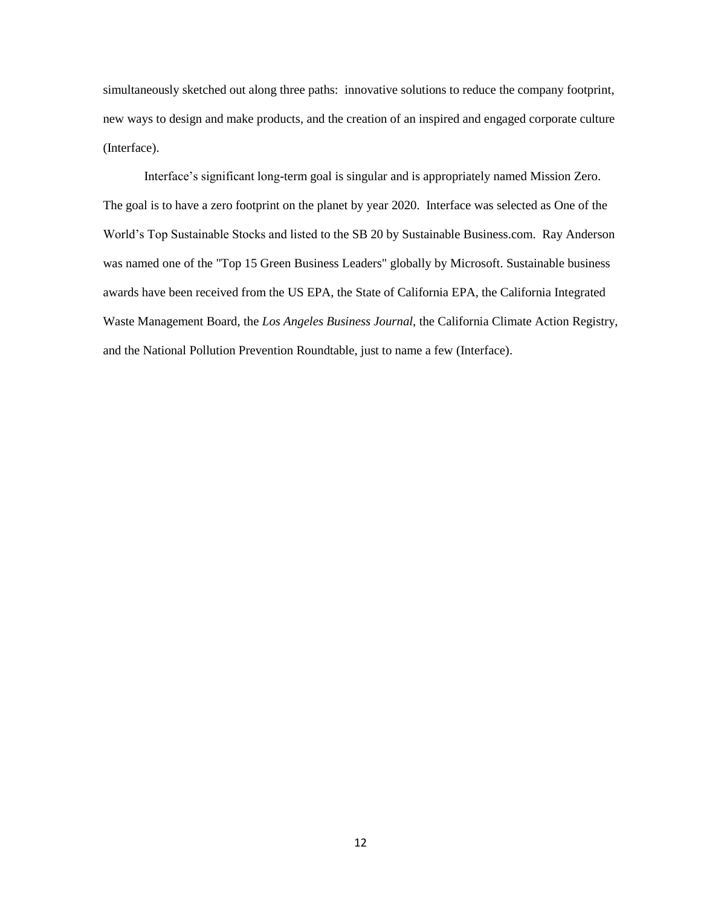simultaneously sketched out along three paths: innovative solutions to reduce the company footprint, new ways to design and make products, and the creation of an inspired and engaged corporate culture (Interface).

Interface's significant long-term goal is singular and is appropriately named Mission Zero. The goal is to have a zero footprint on the planet by year 2020. Interface was selected as One of the World's Top Sustainable Stocks and listed to the SB 20 by Sustainable Business.com. Ray Anderson was named one of the "Top 15 Green Business Leaders" globally by Microsoft. Sustainable business awards have been received from the US EPA, the State of California EPA, the California Integrated Waste Management Board, the *Los Angeles Business Journal,* the California Climate Action Registry, and the National Pollution Prevention Roundtable, just to name a few (Interface).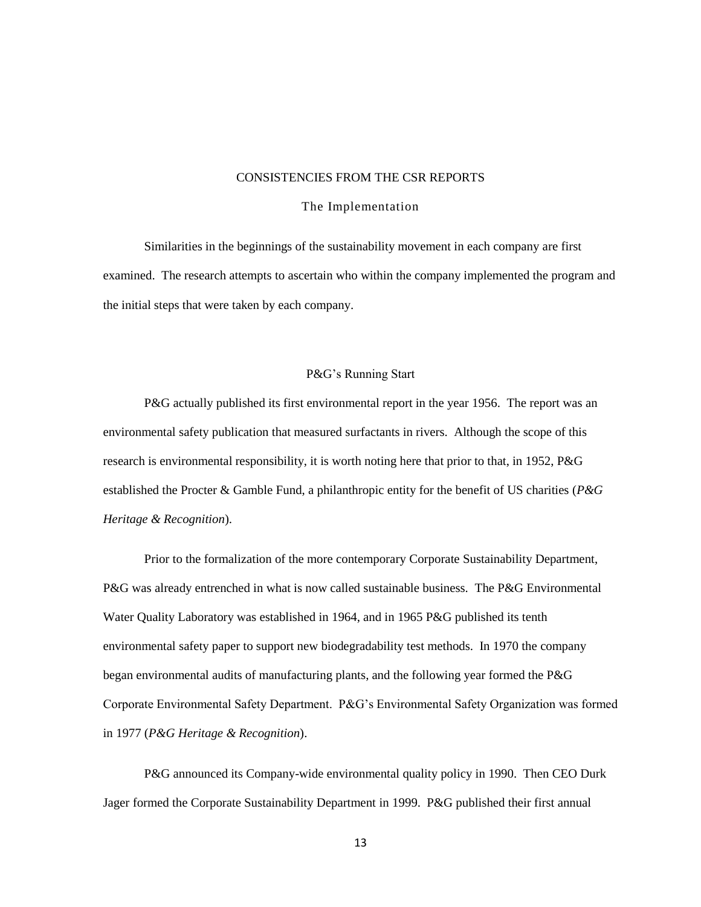## CONSISTENCIES FROM THE CSR REPORTS

### The Implementation

Similarities in the beginnings of the sustainability movement in each company are first examined. The research attempts to ascertain who within the company implemented the program and the initial steps that were taken by each company.

#### P&G's Running Start

P&G actually published its first environmental report in the year 1956. The report was an environmental safety publication that measured surfactants in rivers. Although the scope of this research is environmental responsibility, it is worth noting here that prior to that, in 1952, P&G established the Procter & Gamble Fund, a philanthropic entity for the benefit of US charities (*P&G Heritage & Recognition*).

Prior to the formalization of the more contemporary Corporate Sustainability Department, P&G was already entrenched in what is now called sustainable business. The P&G Environmental Water Quality Laboratory was established in 1964, and in 1965 P&G published its tenth environmental safety paper to support new biodegradability test methods. In 1970 the company began environmental audits of manufacturing plants, and the following year formed the P&G Corporate Environmental Safety Department. P&G's Environmental Safety Organization was formed in 1977 (*P&G Heritage & Recognition*).

P&G announced its Company-wide environmental quality policy in 1990. Then CEO Durk Jager formed the Corporate Sustainability Department in 1999. P&G published their first annual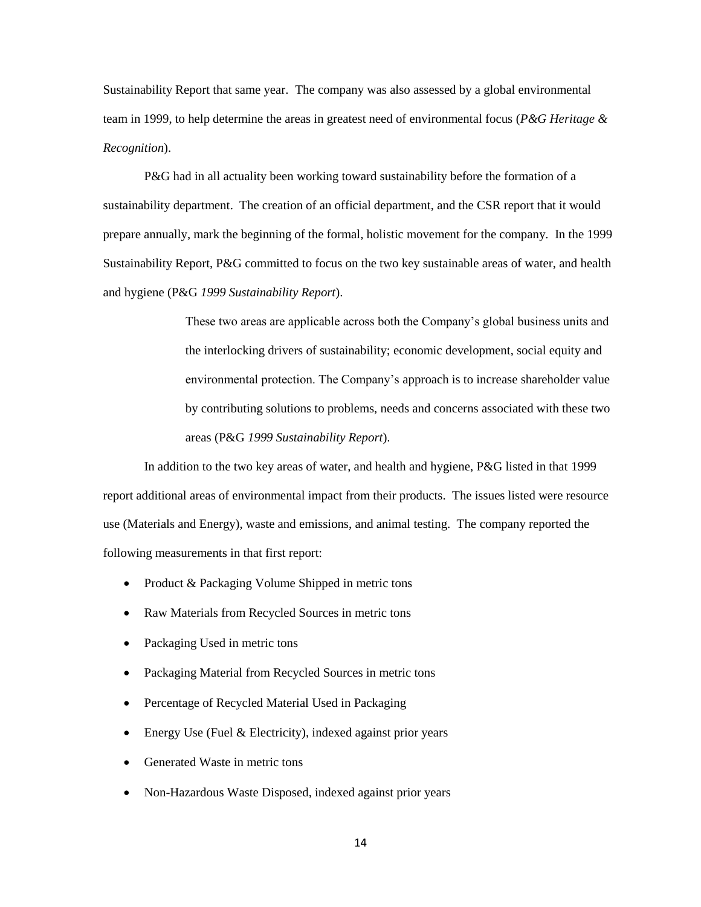Sustainability Report that same year. The company was also assessed by a global environmental team in 1999, to help determine the areas in greatest need of environmental focus (*P&G Heritage & Recognition*).

P&G had in all actuality been working toward sustainability before the formation of a sustainability department. The creation of an official department, and the CSR report that it would prepare annually, mark the beginning of the formal, holistic movement for the company. In the 1999 Sustainability Report, P&G committed to focus on the two key sustainable areas of water, and health and hygiene (P&G *1999 Sustainability Report*).

> These two areas are applicable across both the Company's global business units and the interlocking drivers of sustainability; economic development, social equity and environmental protection. The Company's approach is to increase shareholder value by contributing solutions to problems, needs and concerns associated with these two areas (P&G *1999 Sustainability Report*).

In addition to the two key areas of water, and health and hygiene, P&G listed in that 1999 report additional areas of environmental impact from their products. The issues listed were resource use (Materials and Energy), waste and emissions, and animal testing. The company reported the following measurements in that first report:

- Product & Packaging Volume Shipped in metric tons
- Raw Materials from Recycled Sources in metric tons
- Packaging Used in metric tons
- Packaging Material from Recycled Sources in metric tons
- Percentage of Recycled Material Used in Packaging
- Energy Use (Fuel & Electricity), indexed against prior years
- Generated Waste in metric tons
- Non-Hazardous Waste Disposed, indexed against prior years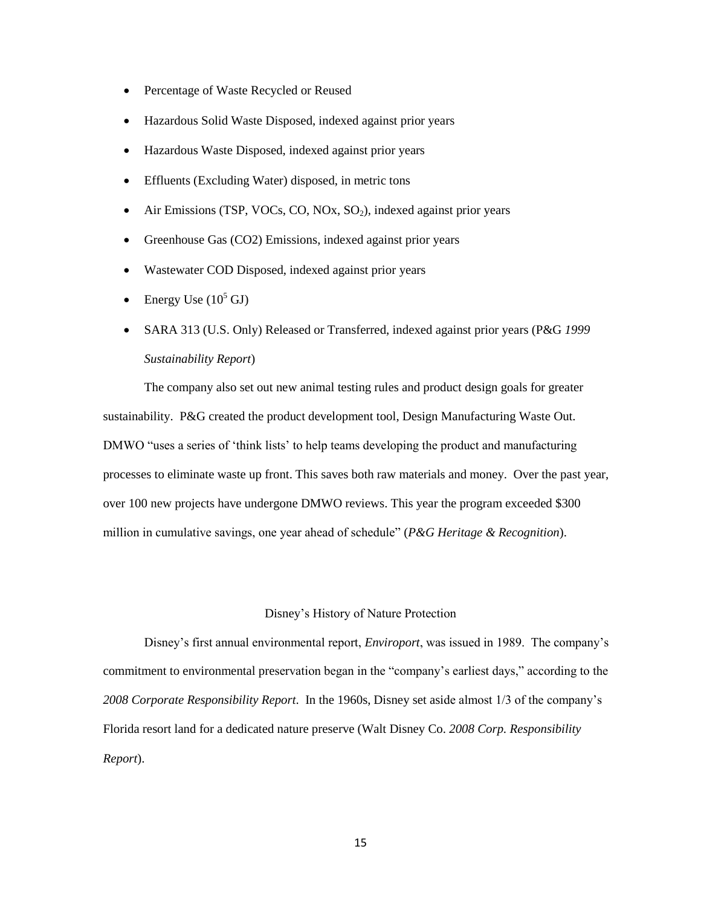- Percentage of Waste Recycled or Reused
- Hazardous Solid Waste Disposed, indexed against prior years
- Hazardous Waste Disposed, indexed against prior years
- Effluents (Excluding Water) disposed, in metric tons
- $\bullet$  Air Emissions (TSP, VOCs, CO, NOx, SO<sub>2</sub>), indexed against prior years
- Greenhouse Gas (CO2) Emissions, indexed against prior years
- Wastewater COD Disposed, indexed against prior years
- Energy Use  $(10^5 \text{ GJ})$
- SARA 313 (U.S. Only) Released or Transferred, indexed against prior years (P&G *1999 Sustainability Report*)

The company also set out new animal testing rules and product design goals for greater sustainability. P&G created the product development tool, Design Manufacturing Waste Out. DMWO "uses a series of 'think lists' to help teams developing the product and manufacturing processes to eliminate waste up front. This saves both raw materials and money. Over the past year, over 100 new projects have undergone DMWO reviews. This year the program exceeded \$300 million in cumulative savings, one year ahead of schedule" (*P&G Heritage & Recognition*).

### Disney's History of Nature Protection

Disney's first annual environmental report, *Enviroport*, was issued in 1989. The company's commitment to environmental preservation began in the "company's earliest days," according to the *2008 Corporate Responsibility Report*. In the 1960s, Disney set aside almost 1/3 of the company's Florida resort land for a dedicated nature preserve (Walt Disney Co. *2008 Corp. Responsibility Report*).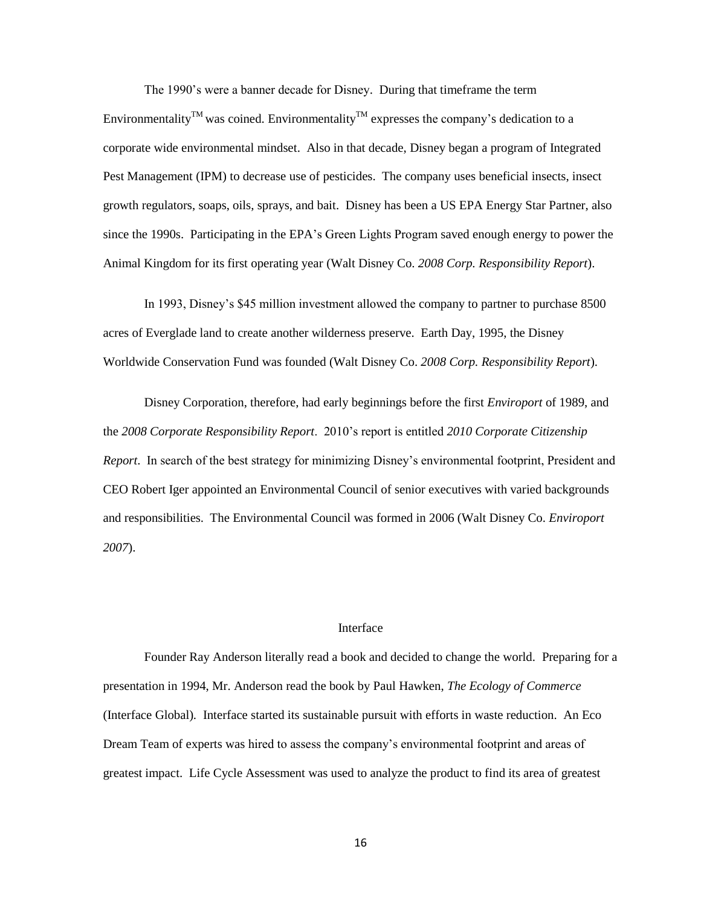The 1990's were a banner decade for Disney. During that timeframe the term Environmentality<sup>TM</sup> was coined. Environmentality<sup>TM</sup> expresses the company's dedication to a corporate wide environmental mindset. Also in that decade, Disney began a program of Integrated Pest Management (IPM) to decrease use of pesticides. The company uses beneficial insects, insect growth regulators, soaps, oils, sprays, and bait. Disney has been a US EPA Energy Star Partner, also since the 1990s. Participating in the EPA's Green Lights Program saved enough energy to power the Animal Kingdom for its first operating year (Walt Disney Co. *2008 Corp. Responsibility Report*).

In 1993, Disney's \$45 million investment allowed the company to partner to purchase 8500 acres of Everglade land to create another wilderness preserve. Earth Day, 1995, the Disney Worldwide Conservation Fund was founded (Walt Disney Co. *2008 Corp. Responsibility Report*).

Disney Corporation, therefore, had early beginnings before the first *Enviroport* of 1989, and the *2008 Corporate Responsibility Report*. 2010's report is entitled *2010 Corporate Citizenship Report*. In search of the best strategy for minimizing Disney's environmental footprint, President and CEO Robert Iger appointed an Environmental Council of senior executives with varied backgrounds and responsibilities. The Environmental Council was formed in 2006 (Walt Disney Co. *Enviroport 2007*).

### Interface

Founder Ray Anderson literally read a book and decided to change the world. Preparing for a presentation in 1994, Mr. Anderson read the book by Paul Hawken, *The Ecology of Commerce* (Interface Global)*.* Interface started its sustainable pursuit with efforts in waste reduction. An Eco Dream Team of experts was hired to assess the company's environmental footprint and areas of greatest impact. Life Cycle Assessment was used to analyze the product to find its area of greatest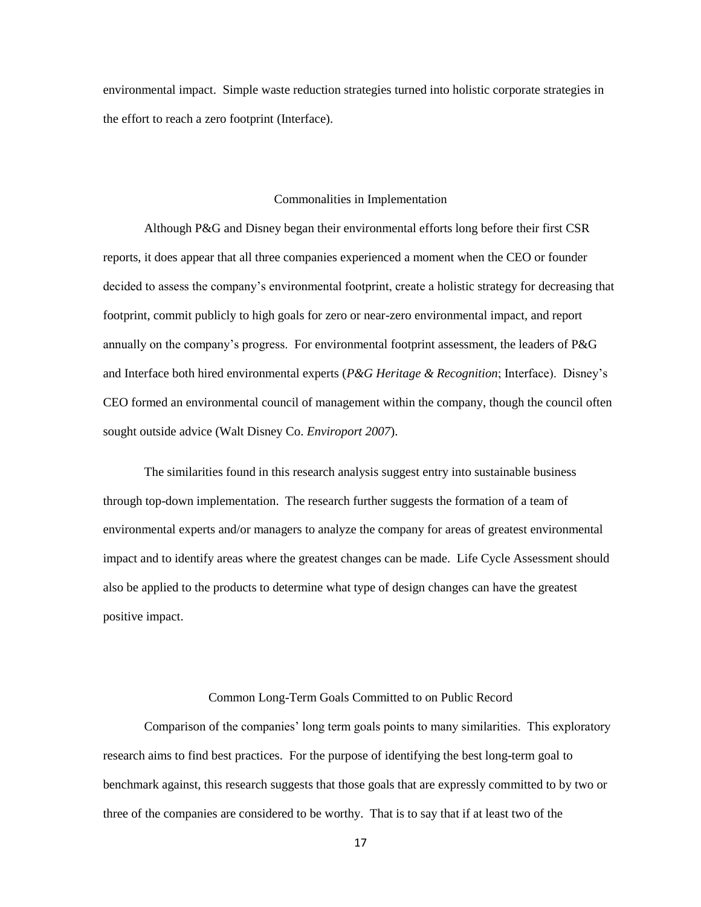environmental impact. Simple waste reduction strategies turned into holistic corporate strategies in the effort to reach a zero footprint (Interface).

#### Commonalities in Implementation

Although P&G and Disney began their environmental efforts long before their first CSR reports, it does appear that all three companies experienced a moment when the CEO or founder decided to assess the company's environmental footprint, create a holistic strategy for decreasing that footprint, commit publicly to high goals for zero or near-zero environmental impact, and report annually on the company's progress. For environmental footprint assessment, the leaders of P&G and Interface both hired environmental experts (*P&G Heritage & Recognition*; Interface). Disney's CEO formed an environmental council of management within the company, though the council often sought outside advice (Walt Disney Co. *Enviroport 2007*).

The similarities found in this research analysis suggest entry into sustainable business through top-down implementation. The research further suggests the formation of a team of environmental experts and/or managers to analyze the company for areas of greatest environmental impact and to identify areas where the greatest changes can be made. Life Cycle Assessment should also be applied to the products to determine what type of design changes can have the greatest positive impact.

#### Common Long-Term Goals Committed to on Public Record

Comparison of the companies' long term goals points to many similarities. This exploratory research aims to find best practices. For the purpose of identifying the best long-term goal to benchmark against, this research suggests that those goals that are expressly committed to by two or three of the companies are considered to be worthy. That is to say that if at least two of the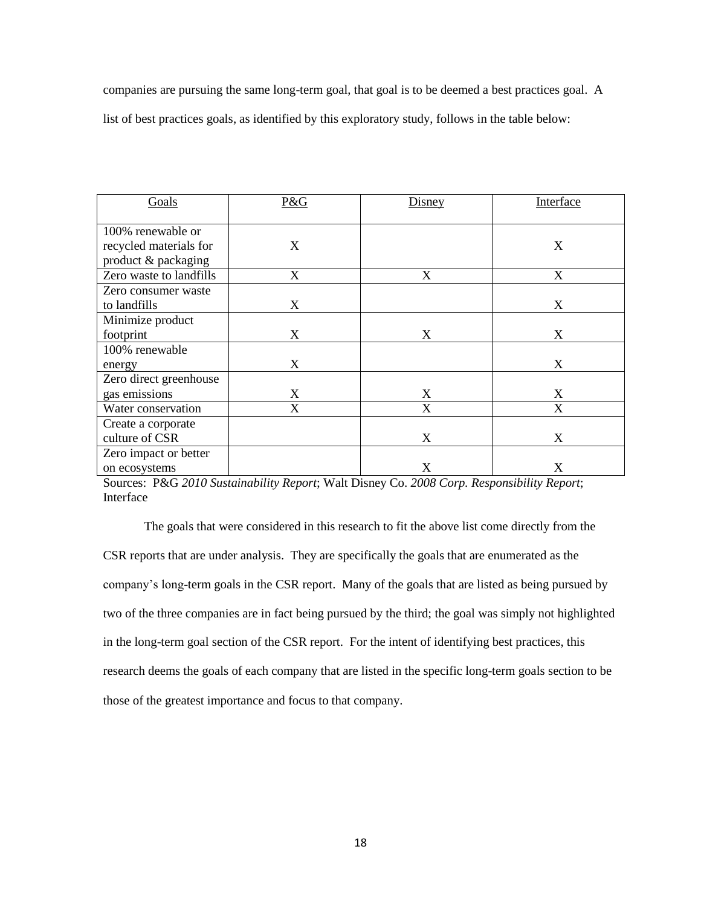companies are pursuing the same long-term goal, that goal is to be deemed a best practices goal. A list of best practices goals, as identified by this exploratory study, follows in the table below:

| Goals                                         | P&G | Disney | Interface |
|-----------------------------------------------|-----|--------|-----------|
| 100% renewable or                             | X   |        | X         |
| recycled materials for<br>product & packaging |     |        |           |
| Zero waste to landfills                       | X   | X      | X         |
| Zero consumer waste                           |     |        |           |
| to landfills                                  | X   |        | X         |
| Minimize product                              |     |        |           |
| footprint                                     | X   | X      | X         |
| 100% renewable                                |     |        |           |
| energy                                        | X   |        | X         |
| Zero direct greenhouse                        |     |        |           |
| gas emissions                                 | X   | X      | X         |
| Water conservation                            | X   | X      | X         |
| Create a corporate                            |     |        |           |
| culture of CSR                                |     | X      | X         |
| Zero impact or better                         |     |        |           |
| on ecosystems                                 |     | X      | X         |

Sources: P&G *2010 Sustainability Report*; Walt Disney Co. *2008 Corp. Responsibility Report*; Interface

The goals that were considered in this research to fit the above list come directly from the CSR reports that are under analysis. They are specifically the goals that are enumerated as the company's long-term goals in the CSR report. Many of the goals that are listed as being pursued by two of the three companies are in fact being pursued by the third; the goal was simply not highlighted in the long-term goal section of the CSR report. For the intent of identifying best practices, this research deems the goals of each company that are listed in the specific long-term goals section to be those of the greatest importance and focus to that company.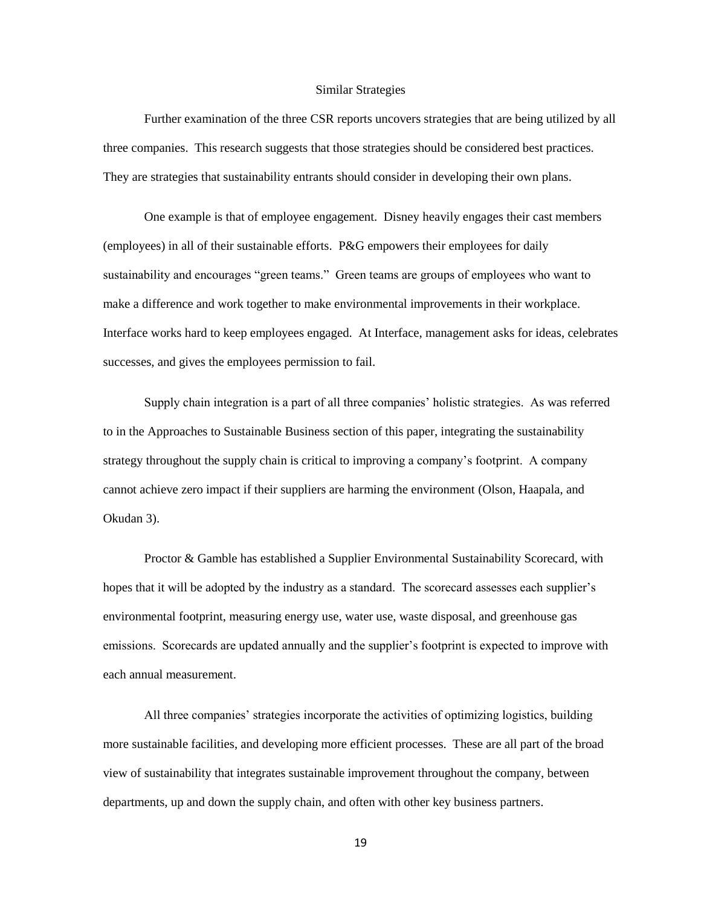#### Similar Strategies

Further examination of the three CSR reports uncovers strategies that are being utilized by all three companies. This research suggests that those strategies should be considered best practices. They are strategies that sustainability entrants should consider in developing their own plans.

One example is that of employee engagement. Disney heavily engages their cast members (employees) in all of their sustainable efforts. P&G empowers their employees for daily sustainability and encourages "green teams." Green teams are groups of employees who want to make a difference and work together to make environmental improvements in their workplace. Interface works hard to keep employees engaged. At Interface, management asks for ideas, celebrates successes, and gives the employees permission to fail.

Supply chain integration is a part of all three companies' holistic strategies. As was referred to in the Approaches to Sustainable Business section of this paper, integrating the sustainability strategy throughout the supply chain is critical to improving a company's footprint. A company cannot achieve zero impact if their suppliers are harming the environment (Olson, Haapala, and Okudan 3).

Proctor & Gamble has established a Supplier Environmental Sustainability Scorecard, with hopes that it will be adopted by the industry as a standard. The scorecard assesses each supplier's environmental footprint, measuring energy use, water use, waste disposal, and greenhouse gas emissions. Scorecards are updated annually and the supplier's footprint is expected to improve with each annual measurement.

All three companies' strategies incorporate the activities of optimizing logistics, building more sustainable facilities, and developing more efficient processes. These are all part of the broad view of sustainability that integrates sustainable improvement throughout the company, between departments, up and down the supply chain, and often with other key business partners.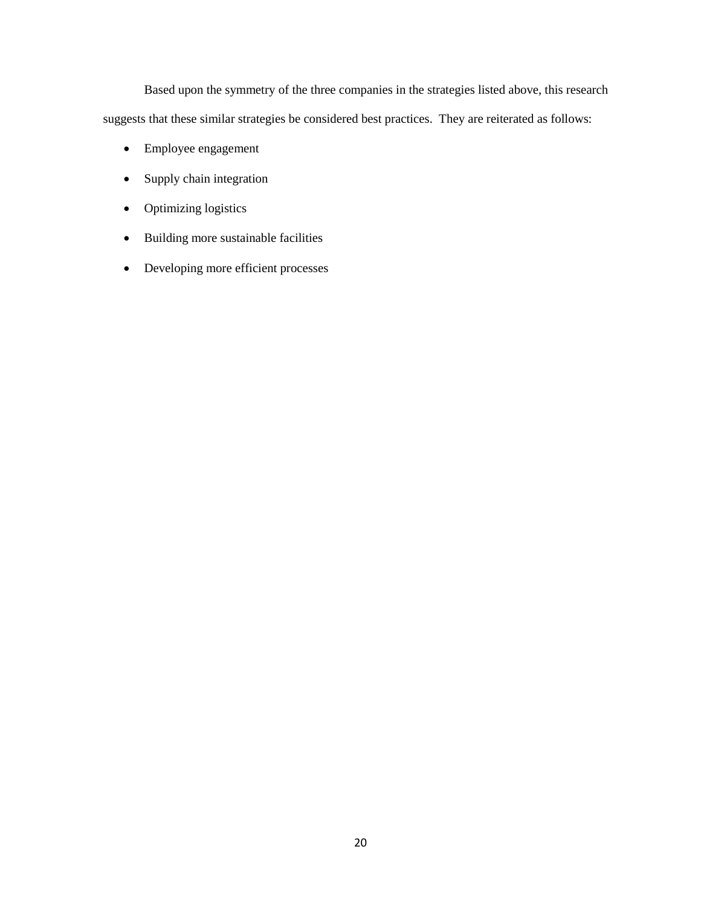Based upon the symmetry of the three companies in the strategies listed above, this research suggests that these similar strategies be considered best practices. They are reiterated as follows:

- Employee engagement
- Supply chain integration
- Optimizing logistics
- Building more sustainable facilities
- Developing more efficient processes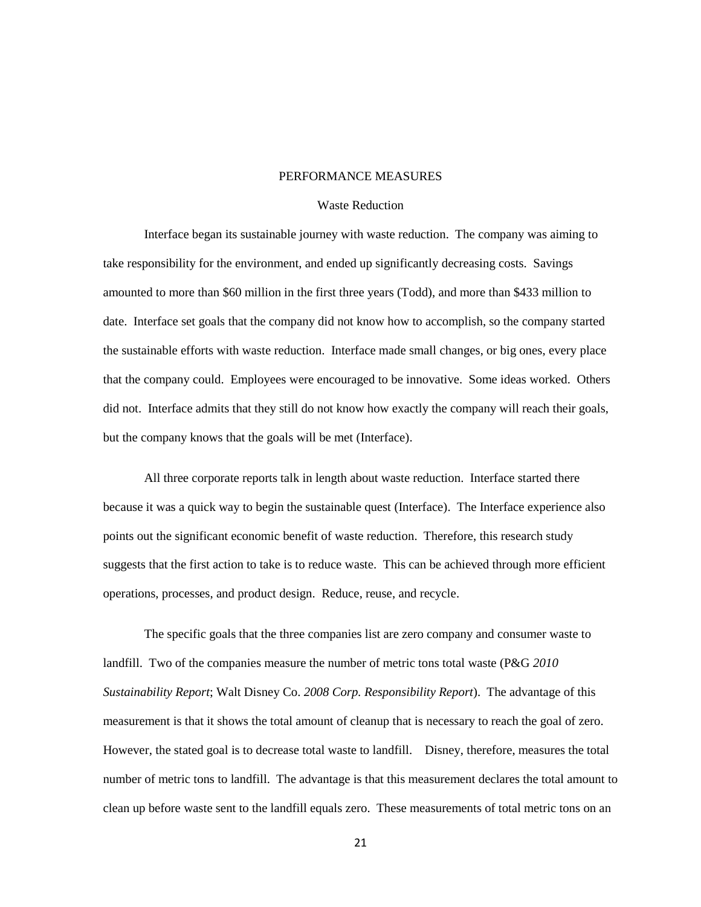## PERFORMANCE MEASURES

### Waste Reduction

Interface began its sustainable journey with waste reduction. The company was aiming to take responsibility for the environment, and ended up significantly decreasing costs. Savings amounted to more than \$60 million in the first three years (Todd), and more than \$433 million to date. Interface set goals that the company did not know how to accomplish, so the company started the sustainable efforts with waste reduction. Interface made small changes, or big ones, every place that the company could. Employees were encouraged to be innovative. Some ideas worked. Others did not. Interface admits that they still do not know how exactly the company will reach their goals, but the company knows that the goals will be met (Interface).

All three corporate reports talk in length about waste reduction. Interface started there because it was a quick way to begin the sustainable quest (Interface). The Interface experience also points out the significant economic benefit of waste reduction. Therefore, this research study suggests that the first action to take is to reduce waste. This can be achieved through more efficient operations, processes, and product design. Reduce, reuse, and recycle.

The specific goals that the three companies list are zero company and consumer waste to landfill. Two of the companies measure the number of metric tons total waste (P&G *2010 Sustainability Report*; Walt Disney Co. *2008 Corp. Responsibility Report*). The advantage of this measurement is that it shows the total amount of cleanup that is necessary to reach the goal of zero. However, the stated goal is to decrease total waste to landfill. Disney, therefore, measures the total number of metric tons to landfill. The advantage is that this measurement declares the total amount to clean up before waste sent to the landfill equals zero. These measurements of total metric tons on an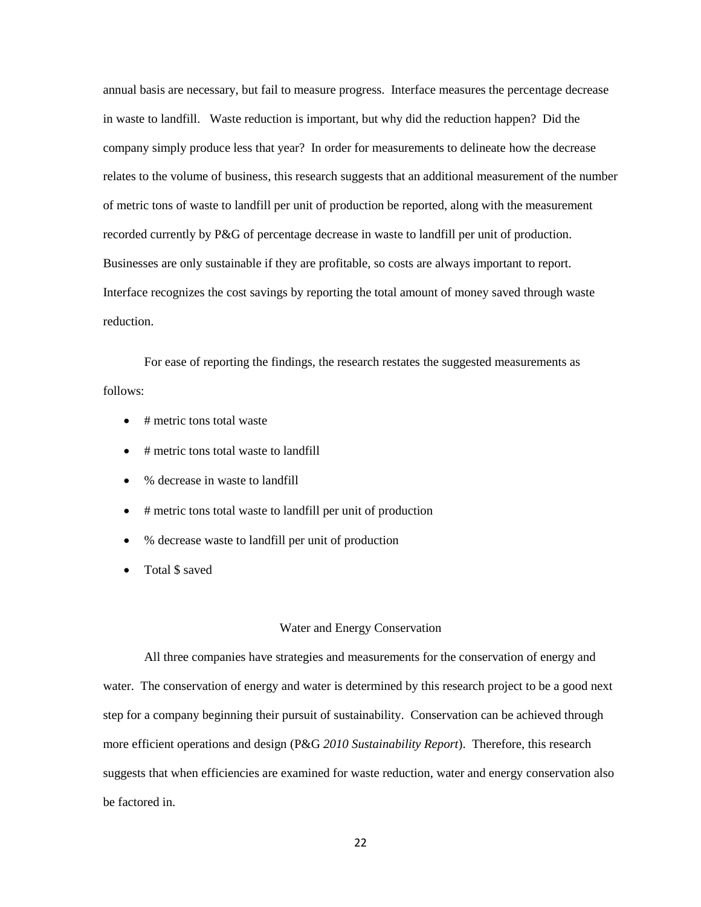annual basis are necessary, but fail to measure progress. Interface measures the percentage decrease in waste to landfill. Waste reduction is important, but why did the reduction happen? Did the company simply produce less that year? In order for measurements to delineate how the decrease relates to the volume of business, this research suggests that an additional measurement of the number of metric tons of waste to landfill per unit of production be reported, along with the measurement recorded currently by P&G of percentage decrease in waste to landfill per unit of production. Businesses are only sustainable if they are profitable, so costs are always important to report. Interface recognizes the cost savings by reporting the total amount of money saved through waste reduction.

For ease of reporting the findings, the research restates the suggested measurements as follows:

- # metric tons total waste
- $\bullet$  # metric tons total waste to landfill
- % decrease in waste to landfill
- # metric tons total waste to landfill per unit of production
- % decrease waste to landfill per unit of production
- Total \$ saved

### Water and Energy Conservation

All three companies have strategies and measurements for the conservation of energy and water. The conservation of energy and water is determined by this research project to be a good next step for a company beginning their pursuit of sustainability. Conservation can be achieved through more efficient operations and design (P&G *2010 Sustainability Report*). Therefore, this research suggests that when efficiencies are examined for waste reduction, water and energy conservation also be factored in.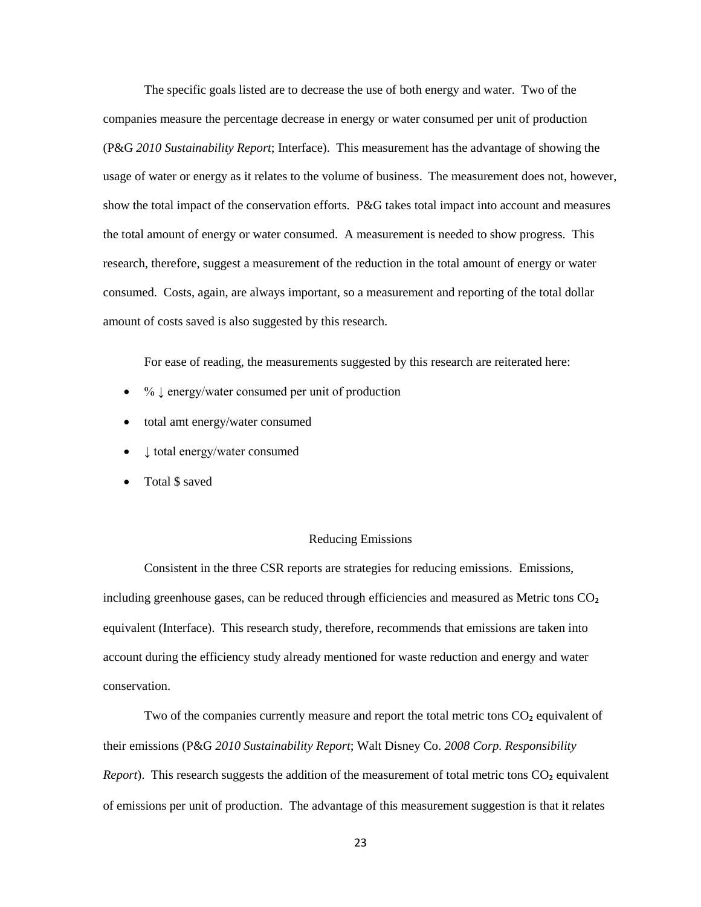The specific goals listed are to decrease the use of both energy and water. Two of the companies measure the percentage decrease in energy or water consumed per unit of production (P&G *2010 Sustainability Report*; Interface). This measurement has the advantage of showing the usage of water or energy as it relates to the volume of business. The measurement does not, however, show the total impact of the conservation efforts. P&G takes total impact into account and measures the total amount of energy or water consumed. A measurement is needed to show progress. This research, therefore, suggest a measurement of the reduction in the total amount of energy or water consumed. Costs, again, are always important, so a measurement and reporting of the total dollar amount of costs saved is also suggested by this research.

For ease of reading, the measurements suggested by this research are reiterated here:

- %  $\downarrow$  energy/water consumed per unit of production
- total amt energy/water consumed
- ↓ total energy/water consumed
- Total \$ saved

#### Reducing Emissions

Consistent in the three CSR reports are strategies for reducing emissions. Emissions, including greenhouse gases, can be reduced through efficiencies and measured as Metric tons CO₂ equivalent (Interface). This research study, therefore, recommends that emissions are taken into account during the efficiency study already mentioned for waste reduction and energy and water conservation.

Two of the companies currently measure and report the total metric tons  $CO<sub>2</sub>$  equivalent of their emissions (P&G *2010 Sustainability Report*; Walt Disney Co. *2008 Corp. Responsibility Report*). This research suggests the addition of the measurement of total metric tons CO<sub>2</sub> equivalent of emissions per unit of production. The advantage of this measurement suggestion is that it relates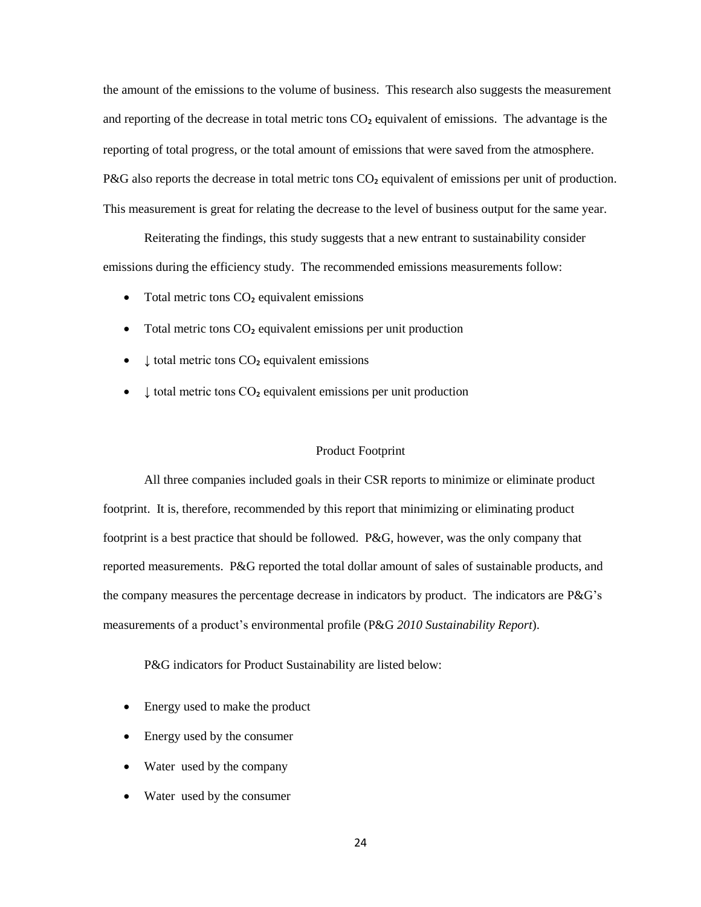the amount of the emissions to the volume of business. This research also suggests the measurement and reporting of the decrease in total metric tons  $CO<sub>2</sub>$  equivalent of emissions. The advantage is the reporting of total progress, or the total amount of emissions that were saved from the atmosphere. P&G also reports the decrease in total metric tons  $CO<sub>2</sub>$  equivalent of emissions per unit of production. This measurement is great for relating the decrease to the level of business output for the same year.

Reiterating the findings, this study suggests that a new entrant to sustainability consider emissions during the efficiency study. The recommended emissions measurements follow:

- $\bullet$  Total metric tons  $CO<sub>2</sub>$  equivalent emissions
- Total metric tons CO<sub>2</sub> equivalent emissions per unit production
- $\bullet$   $\downarrow$  total metric tons CO<sub>2</sub> equivalent emissions
- $\bullet$   $\downarrow$  total metric tons CO<sub>2</sub> equivalent emissions per unit production

#### Product Footprint

All three companies included goals in their CSR reports to minimize or eliminate product footprint. It is, therefore, recommended by this report that minimizing or eliminating product footprint is a best practice that should be followed. P&G, however, was the only company that reported measurements. P&G reported the total dollar amount of sales of sustainable products, and the company measures the percentage decrease in indicators by product. The indicators are P&G's measurements of a product's environmental profile (P&G *2010 Sustainability Report*).

P&G indicators for Product Sustainability are listed below:

- Energy used to make the product
- Energy used by the consumer
- Water used by the company
- Water used by the consumer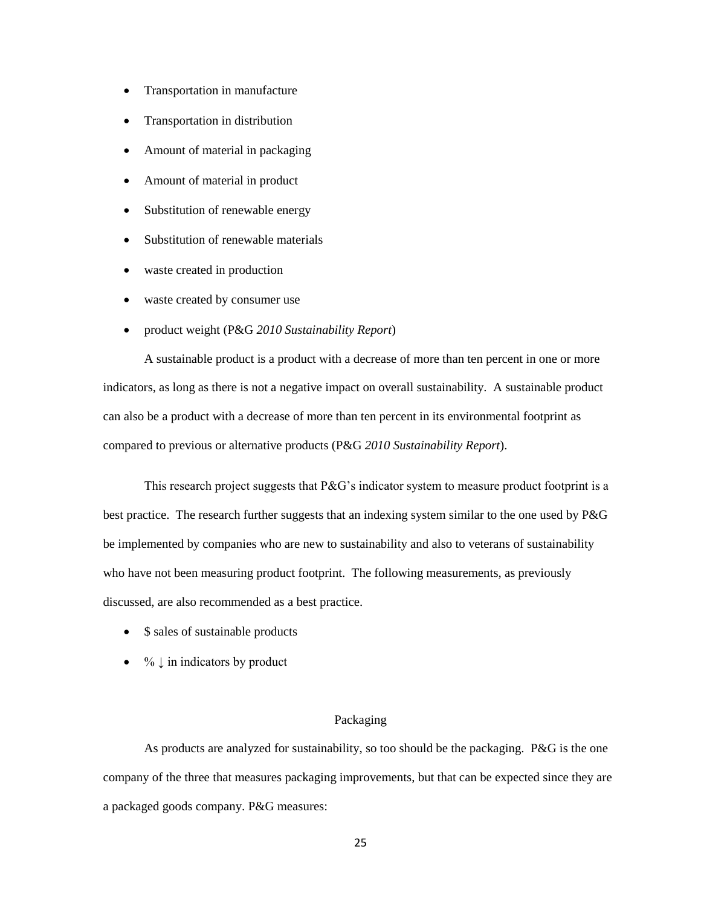- Transportation in manufacture
- Transportation in distribution
- Amount of material in packaging
- Amount of material in product
- Substitution of renewable energy
- Substitution of renewable materials
- waste created in production
- waste created by consumer use
- product weight (P&G *2010 Sustainability Report*)

A sustainable product is a product with a decrease of more than ten percent in one or more indicators, as long as there is not a negative impact on overall sustainability. A sustainable product can also be a product with a decrease of more than ten percent in its environmental footprint as compared to previous or alternative products (P&G *2010 Sustainability Report*).

This research project suggests that  $P\&G$ 's indicator system to measure product footprint is a best practice. The research further suggests that an indexing system similar to the one used by P&G be implemented by companies who are new to sustainability and also to veterans of sustainability who have not been measuring product footprint. The following measurements, as previously discussed, are also recommended as a best practice.

- \$ sales of sustainable products
- $\bullet$  %  $\downarrow$  in indicators by product

## Packaging

As products are analyzed for sustainability, so too should be the packaging. P&G is the one company of the three that measures packaging improvements, but that can be expected since they are a packaged goods company. P&G measures: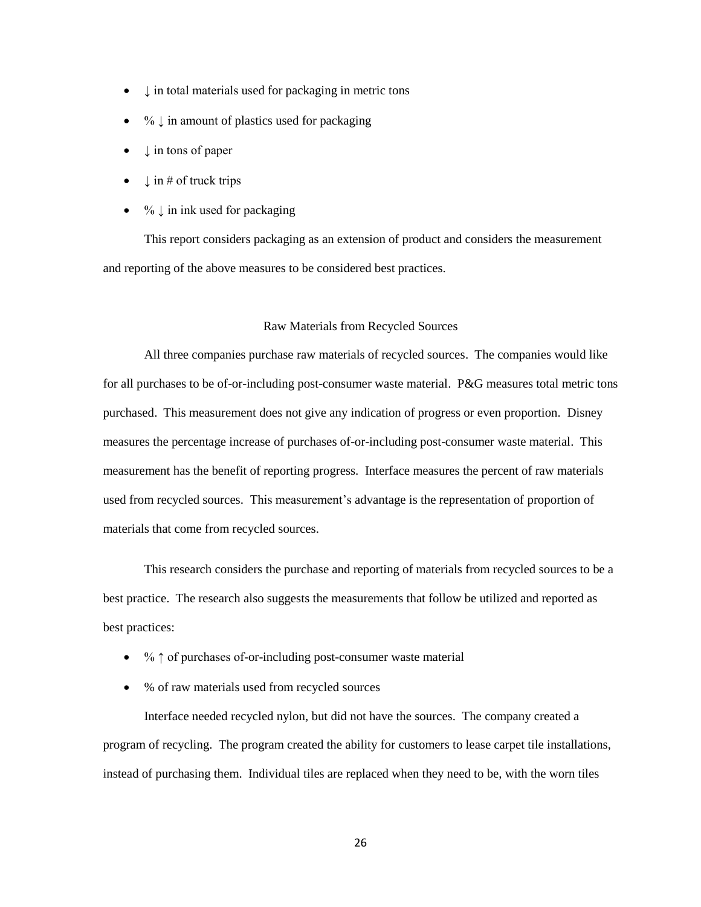- $\downarrow$  in total materials used for packaging in metric tons
- $\bullet$  %  $\downarrow$  in amount of plastics used for packaging
- $\downarrow$  in tons of paper
- $\downarrow$  in # of truck trips
- $\bullet$  %  $\downarrow$  in ink used for packaging

This report considers packaging as an extension of product and considers the measurement and reporting of the above measures to be considered best practices.

#### Raw Materials from Recycled Sources

All three companies purchase raw materials of recycled sources. The companies would like for all purchases to be of-or-including post-consumer waste material. P&G measures total metric tons purchased. This measurement does not give any indication of progress or even proportion. Disney measures the percentage increase of purchases of-or-including post-consumer waste material. This measurement has the benefit of reporting progress. Interface measures the percent of raw materials used from recycled sources. This measurement's advantage is the representation of proportion of materials that come from recycled sources.

This research considers the purchase and reporting of materials from recycled sources to be a best practice. The research also suggests the measurements that follow be utilized and reported as best practices:

- % ↑ of purchases of-or-including post-consumer waste material
- % of raw materials used from recycled sources

Interface needed recycled nylon, but did not have the sources. The company created a program of recycling. The program created the ability for customers to lease carpet tile installations, instead of purchasing them. Individual tiles are replaced when they need to be, with the worn tiles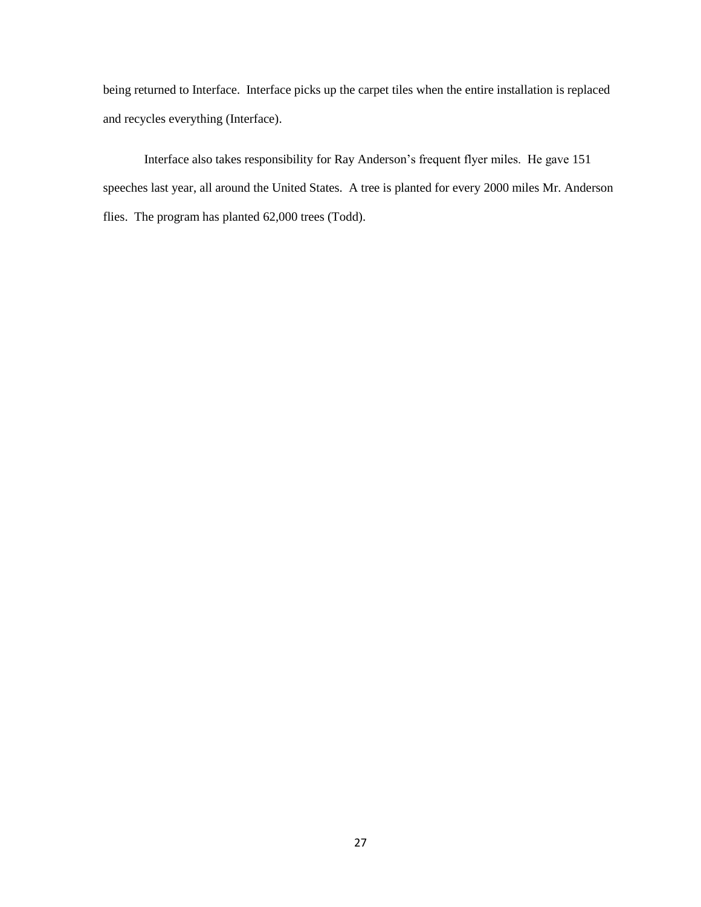being returned to Interface. Interface picks up the carpet tiles when the entire installation is replaced and recycles everything (Interface).

Interface also takes responsibility for Ray Anderson's frequent flyer miles. He gave 151 speeches last year, all around the United States. A tree is planted for every 2000 miles Mr. Anderson flies. The program has planted 62,000 trees (Todd).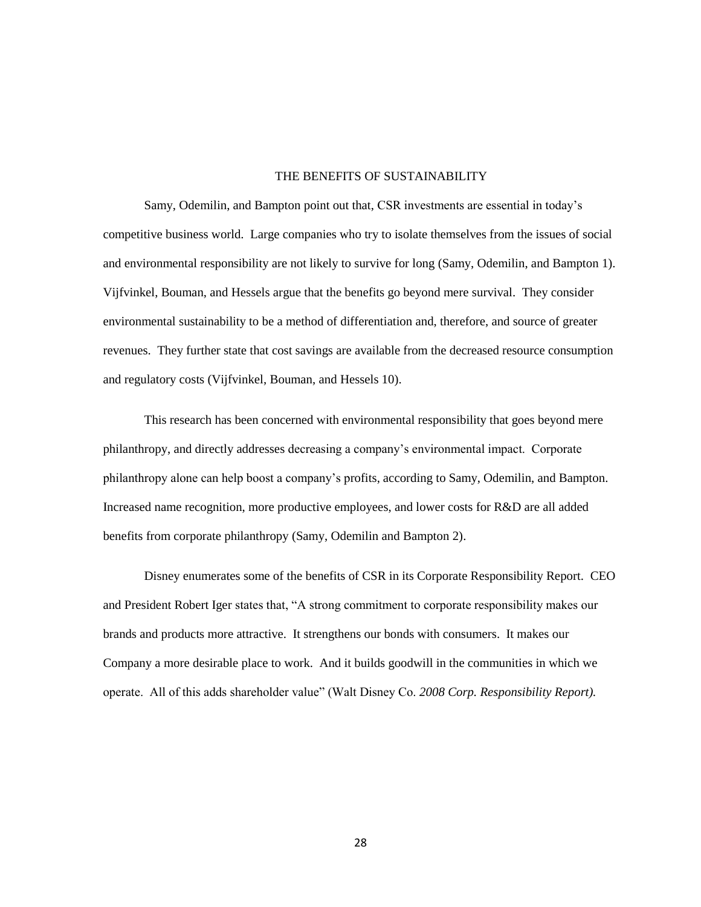## THE BENEFITS OF SUSTAINABILITY

Samy, Odemilin, and Bampton point out that, CSR investments are essential in today's competitive business world. Large companies who try to isolate themselves from the issues of social and environmental responsibility are not likely to survive for long (Samy, Odemilin, and Bampton 1). Vijfvinkel, Bouman, and Hessels argue that the benefits go beyond mere survival. They consider environmental sustainability to be a method of differentiation and, therefore, and source of greater revenues. They further state that cost savings are available from the decreased resource consumption and regulatory costs (Vijfvinkel, Bouman, and Hessels 10).

This research has been concerned with environmental responsibility that goes beyond mere philanthropy, and directly addresses decreasing a company's environmental impact. Corporate philanthropy alone can help boost a company's profits, according to Samy, Odemilin, and Bampton. Increased name recognition, more productive employees, and lower costs for R&D are all added benefits from corporate philanthropy (Samy, Odemilin and Bampton 2).

Disney enumerates some of the benefits of CSR in its Corporate Responsibility Report. CEO and President Robert Iger states that, "A strong commitment to corporate responsibility makes our brands and products more attractive. It strengthens our bonds with consumers. It makes our Company a more desirable place to work. And it builds goodwill in the communities in which we operate. All of this adds shareholder value" (Walt Disney Co. 2008 Corp. Responsibility Report).

28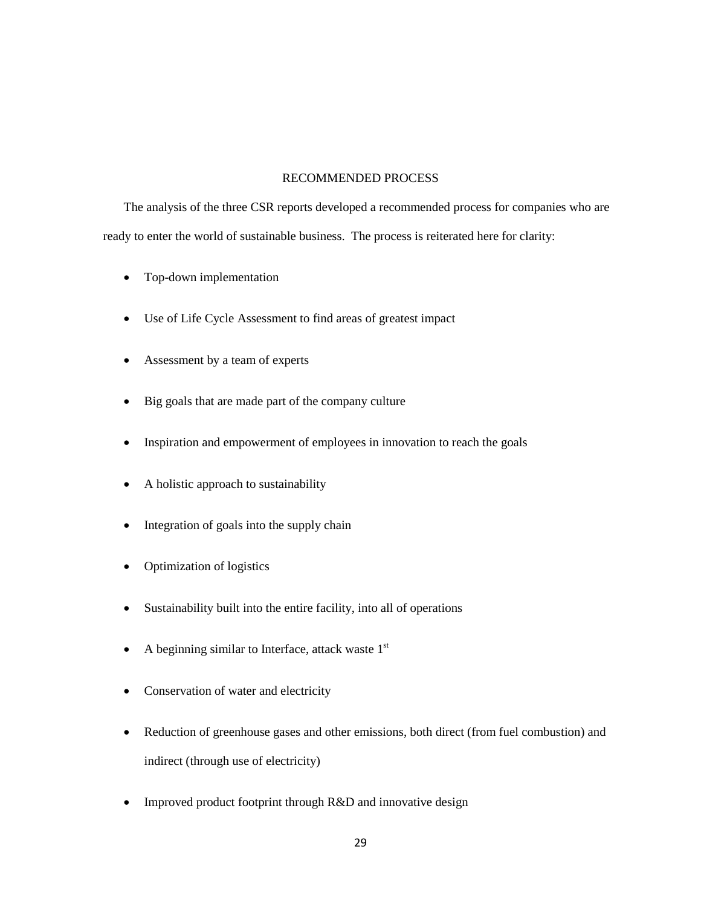## RECOMMENDED PROCESS

The analysis of the three CSR reports developed a recommended process for companies who are ready to enter the world of sustainable business. The process is reiterated here for clarity:

- Top-down implementation
- Use of Life Cycle Assessment to find areas of greatest impact
- Assessment by a team of experts
- Big goals that are made part of the company culture
- Inspiration and empowerment of employees in innovation to reach the goals
- A holistic approach to sustainability
- Integration of goals into the supply chain
- Optimization of logistics
- Sustainability built into the entire facility, into all of operations
- A beginning similar to Interface, attack waste  $1<sup>st</sup>$
- Conservation of water and electricity
- Reduction of greenhouse gases and other emissions, both direct (from fuel combustion) and indirect (through use of electricity)
- Improved product footprint through R&D and innovative design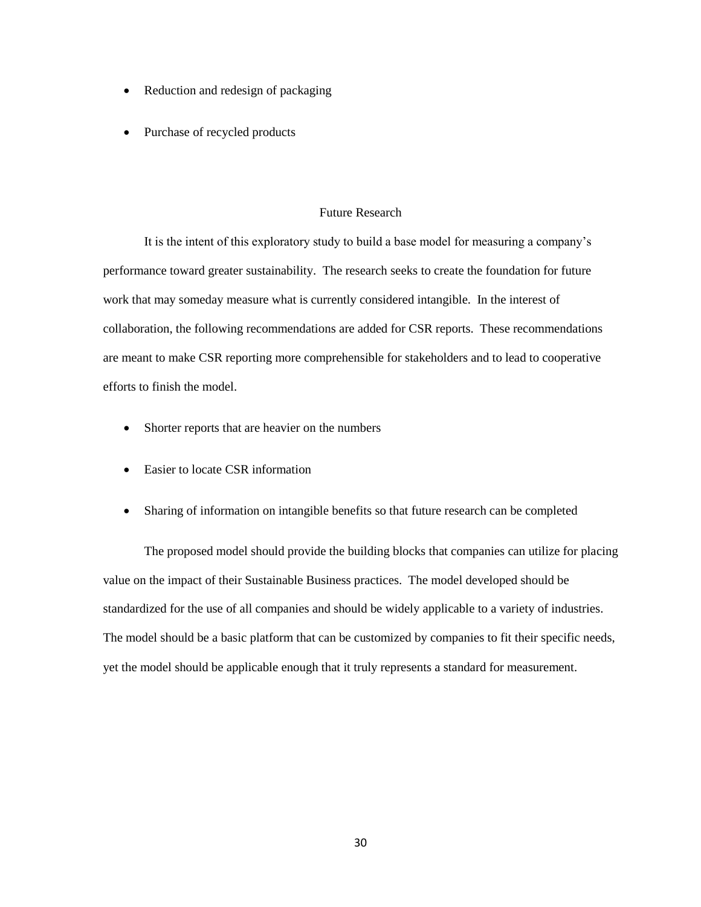- Reduction and redesign of packaging
- Purchase of recycled products

## Future Research

It is the intent of this exploratory study to build a base model for measuring a company's performance toward greater sustainability. The research seeks to create the foundation for future work that may someday measure what is currently considered intangible. In the interest of collaboration, the following recommendations are added for CSR reports. These recommendations are meant to make CSR reporting more comprehensible for stakeholders and to lead to cooperative efforts to finish the model.

- Shorter reports that are heavier on the numbers
- Easier to locate CSR information
- Sharing of information on intangible benefits so that future research can be completed

The proposed model should provide the building blocks that companies can utilize for placing value on the impact of their Sustainable Business practices. The model developed should be standardized for the use of all companies and should be widely applicable to a variety of industries. The model should be a basic platform that can be customized by companies to fit their specific needs, yet the model should be applicable enough that it truly represents a standard for measurement.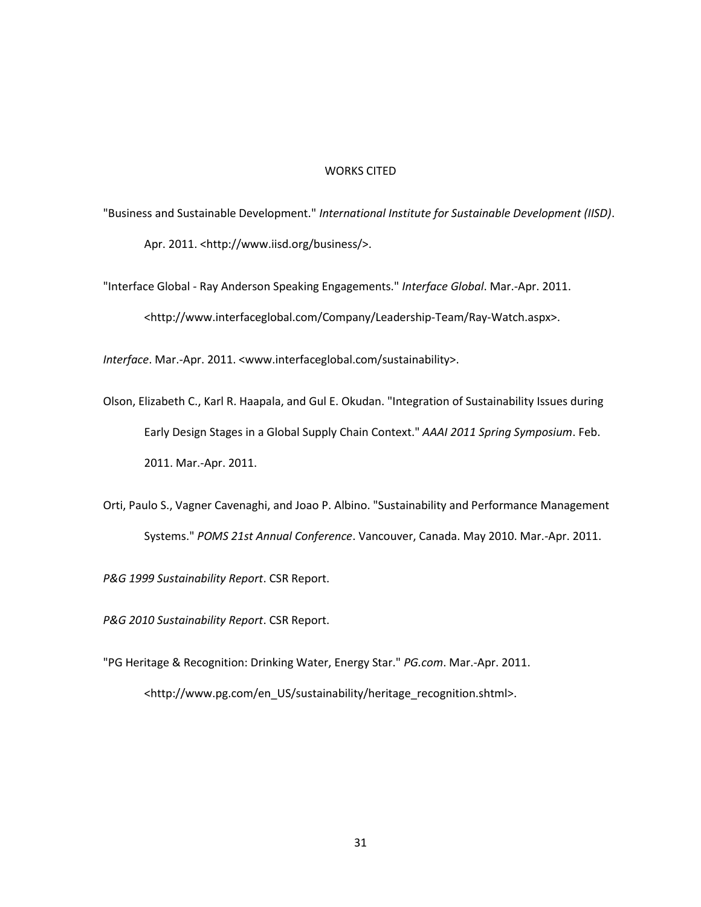#### WORKS CITED

"Business and Sustainable Development." *International Institute for Sustainable Development (IISD)*. Apr. 2011. <http://www.iisd.org/business/>.

"Interface Global - Ray Anderson Speaking Engagements." *Interface Global*. Mar.-Apr. 2011. <http://www.interfaceglobal.com/Company/Leadership-Team/Ray-Watch.aspx>.

*Interface*. Mar.-Apr. 2011. <www.interfaceglobal.com/sustainability>.

- Olson, Elizabeth C., Karl R. Haapala, and Gul E. Okudan. "Integration of Sustainability Issues during Early Design Stages in a Global Supply Chain Context." *AAAI 2011 Spring Symposium*. Feb. 2011. Mar.-Apr. 2011.
- Orti, Paulo S., Vagner Cavenaghi, and Joao P. Albino. "Sustainability and Performance Management Systems." *POMS 21st Annual Conference*. Vancouver, Canada. May 2010. Mar.-Apr. 2011.

*P&G 1999 Sustainability Report*. CSR Report.

*P&G 2010 Sustainability Report*. CSR Report.

"PG Heritage & Recognition: Drinking Water, Energy Star." *PG.com*. Mar.-Apr. 2011. <http://www.pg.com/en\_US/sustainability/heritage\_recognition.shtml>.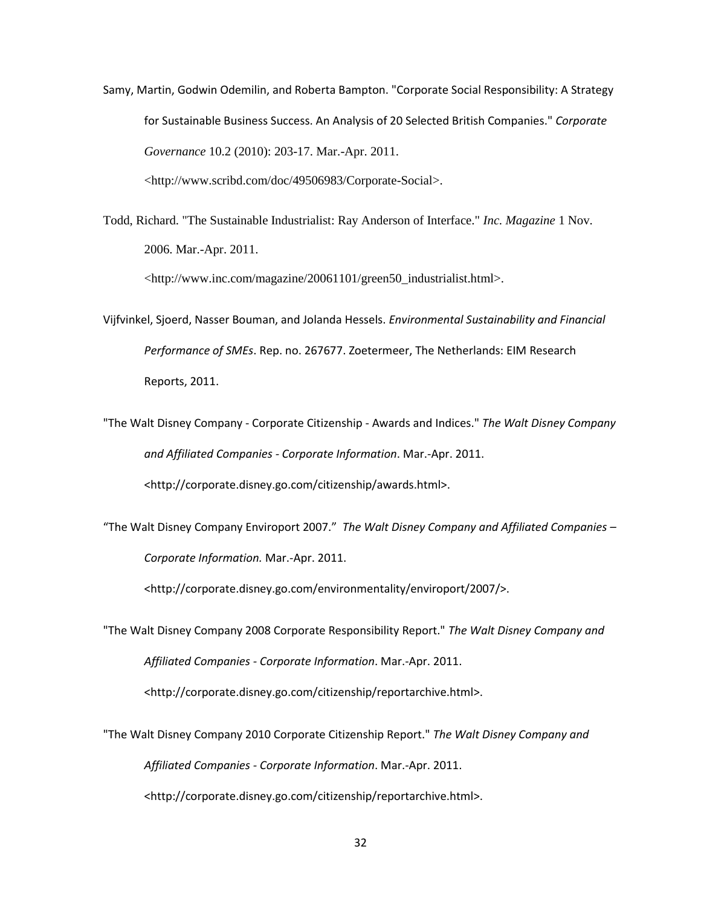Samy, Martin, Godwin Odemilin, and Roberta Bampton. "Corporate Social Responsibility: A Strategy for Sustainable Business Success. An Analysis of 20 Selected British Companies." *Corporate Governance* 10.2 (2010): 203-17. Mar.-Apr. 2011. [<http://www.scribd.com/doc/49506983/Corporate-Social>](http://www.scribd.com/doc/49506983/Corporate-Social).

Todd, Richard. "The Sustainable Industrialist: Ray Anderson of Interface." *Inc. Magazine* 1 Nov. 2006. Mar.-Apr. 2011.

[<http://www.inc.com/magazine/20061101/green50\\_industrialist.html>](http://www.inc.com/magazine/20061101/green50_industrialist.html).

- Vijfvinkel, Sjoerd, Nasser Bouman, and Jolanda Hessels. *Environmental Sustainability and Financial Performance of SMEs*. Rep. no. 267677. Zoetermeer, The Netherlands: EIM Research Reports, 2011.
- "The Walt Disney Company Corporate Citizenship Awards and Indices." *The Walt Disney Company and Affiliated Companies - Corporate Information*. Mar.-Apr. 2011. <http://corporate.disney.go.com/citizenship/awards.html>.
- "The Walt Disney Company Enviroport 2007." *The Walt Disney Company and Affiliated Companies – Corporate Information.* Mar.-Apr. 2011.

<http://corporate.disney.go.com/environmentality/enviroport/2007/>.

"The Walt Disney Company 2008 Corporate Responsibility Report." *The Walt Disney Company and Affiliated Companies - Corporate Information*. Mar.-Apr. 2011. <http://corporate.disney.go.com/citizenship/reportarchive.html>.

"The Walt Disney Company 2010 Corporate Citizenship Report." *The Walt Disney Company and Affiliated Companies - Corporate Information*. Mar.-Apr. 2011. <http://corporate.disney.go.com/citizenship/reportarchive.html>.